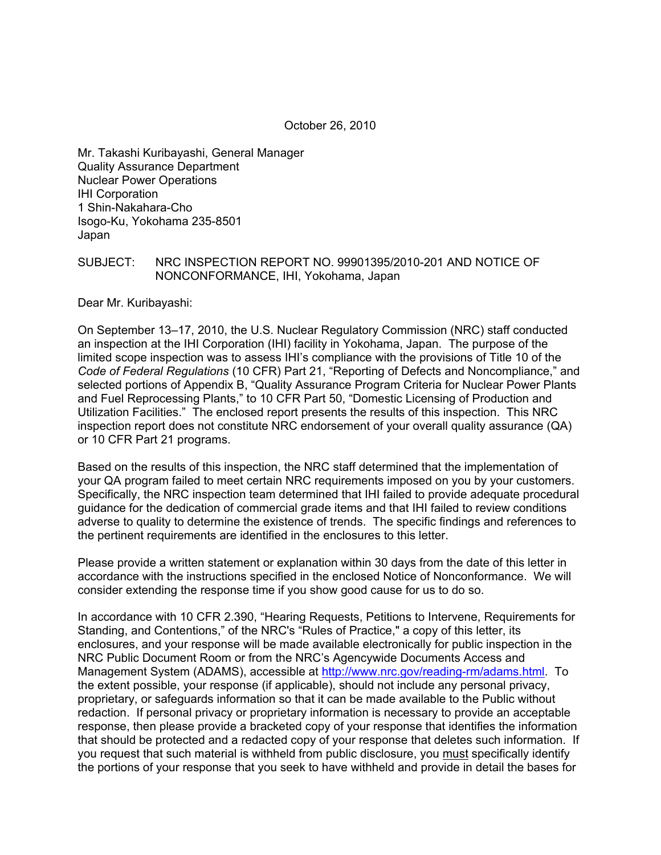Mr. Takashi Kuribayashi, General Manager Quality Assurance Department Nuclear Power Operations IHI Corporation 1 Shin-Nakahara-Cho Isogo-Ku, Yokohama 235-8501 Japan

#### SUBJECT: NRC INSPECTION REPORT NO. 99901395/2010-201 AND NOTICE OF NONCONFORMANCE, IHI, Yokohama, Japan

Dear Mr. Kuribayashi:

On September 13–17, 2010, the U.S. Nuclear Regulatory Commission (NRC) staff conducted an inspection at the IHI Corporation (IHI) facility in Yokohama, Japan. The purpose of the limited scope inspection was to assess IHI's compliance with the provisions of Title 10 of the *Code of Federal Regulations* (10 CFR) Part 21, "Reporting of Defects and Noncompliance," and selected portions of Appendix B, "Quality Assurance Program Criteria for Nuclear Power Plants and Fuel Reprocessing Plants," to 10 CFR Part 50, "Domestic Licensing of Production and Utilization Facilities." The enclosed report presents the results of this inspection. This NRC inspection report does not constitute NRC endorsement of your overall quality assurance (QA) or 10 CFR Part 21 programs.

Based on the results of this inspection, the NRC staff determined that the implementation of your QA program failed to meet certain NRC requirements imposed on you by your customers. Specifically, the NRC inspection team determined that IHI failed to provide adequate procedural guidance for the dedication of commercial grade items and that IHI failed to review conditions adverse to quality to determine the existence of trends. The specific findings and references to the pertinent requirements are identified in the enclosures to this letter.

Please provide a written statement or explanation within 30 days from the date of this letter in accordance with the instructions specified in the enclosed Notice of Nonconformance. We will consider extending the response time if you show good cause for us to do so.

In accordance with 10 CFR 2.390, "Hearing Requests, Petitions to Intervene, Requirements for Standing, and Contentions," of the NRC's "Rules of Practice," a copy of this letter, its enclosures, and your response will be made available electronically for public inspection in the NRC Public Document Room or from the NRC's Agencywide Documents Access and Management System (ADAMS), accessible at http://www.nrc.gov/reading-rm/adams.html. To the extent possible, your response (if applicable), should not include any personal privacy, proprietary, or safeguards information so that it can be made available to the Public without redaction. If personal privacy or proprietary information is necessary to provide an acceptable response, then please provide a bracketed copy of your response that identifies the information that should be protected and a redacted copy of your response that deletes such information. If you request that such material is withheld from public disclosure, you must specifically identify the portions of your response that you seek to have withheld and provide in detail the bases for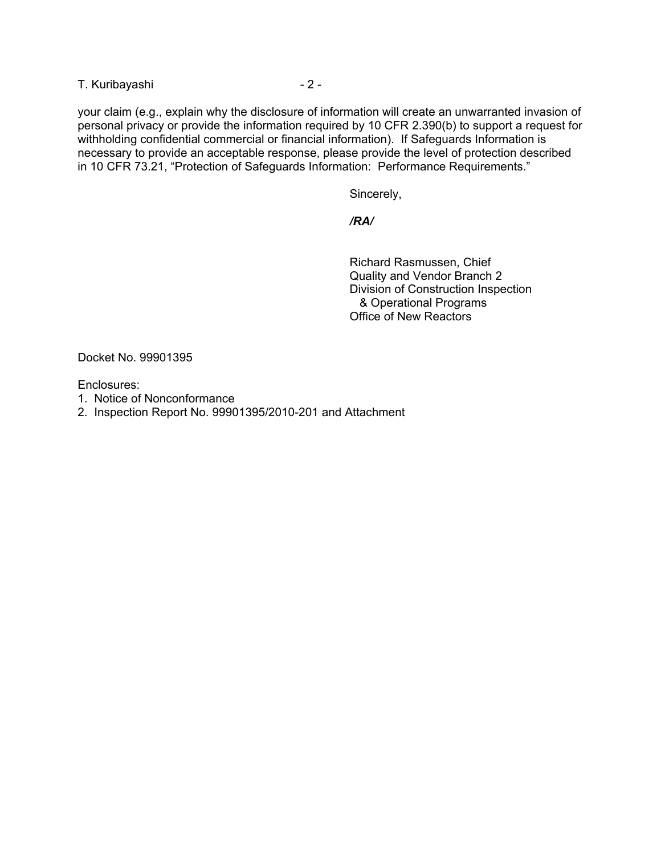T. Kuribayashi  $-2 -$ 

your claim (e.g., explain why the disclosure of information will create an unwarranted invasion of personal privacy or provide the information required by 10 CFR 2.390(b) to support a request for withholding confidential commercial or financial information). If Safeguards Information is necessary to provide an acceptable response, please provide the level of protection described in 10 CFR 73.21, "Protection of Safeguards Information: Performance Requirements."

Sincerely,

 */RA/* 

 Richard Rasmussen, Chief Quality and Vendor Branch 2 Division of Construction Inspection & Operational Programs Office of New Reactors

Docket No. 99901395

Enclosures:

- 1. Notice of Nonconformance
- 2. Inspection Report No. 99901395/2010-201 and Attachment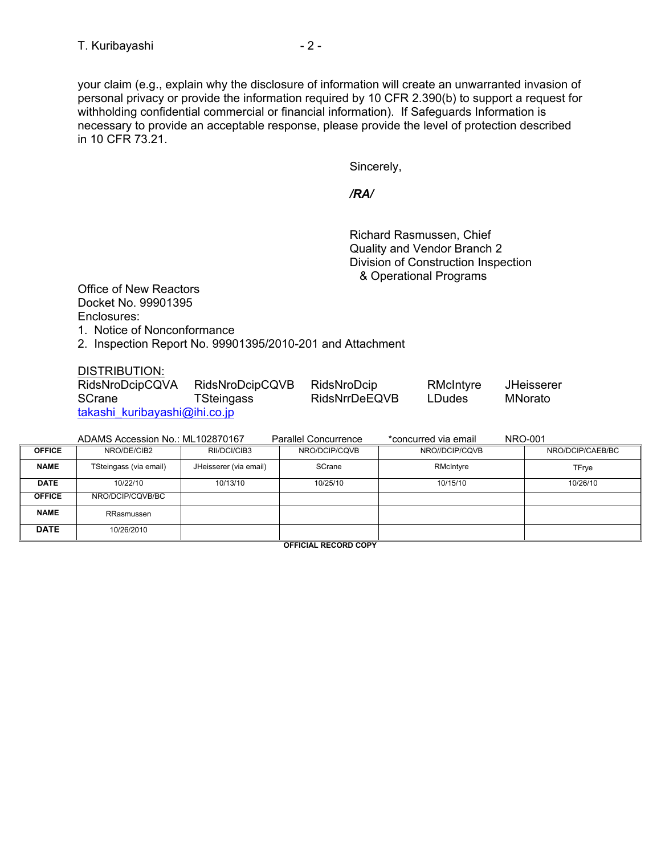your claim (e.g., explain why the disclosure of information will create an unwarranted invasion of personal privacy or provide the information required by 10 CFR 2.390(b) to support a request for withholding confidential commercial or financial information). If Safeguards Information is necessary to provide an acceptable response, please provide the level of protection described in 10 CFR 73.21.

Sincerely,

 */RA/* 

 Richard Rasmussen, Chief Quality and Vendor Branch 2 Division of Construction Inspection & Operational Programs

Office of New Reactors Docket No. 99901395 Enclosures:

1. Notice of Nonconformance

2. Inspection Report No. 99901395/2010-201 and Attachment

DISTRIBUTION:

| ------------<br>RidsNroDcipCQVA | RidsNroDcipCQVB | RidsNroDcip   | RMcIntyre     | <b>JHeisserer</b> |
|---------------------------------|-----------------|---------------|---------------|-------------------|
| <b>SCrane</b>                   | TSteingass      | RidsNrrDeEQVB | <b>LDudes</b> | MNorato           |
| takashi kuribayashi@ihi.co.jp   |                 |               |               |                   |

|               | ADAMS Accession No.: ML102870167 |                        | Parallel Concurrence | *concurred via email | <b>NRO-001</b>   |
|---------------|----------------------------------|------------------------|----------------------|----------------------|------------------|
| <b>OFFICE</b> | NRO/DE/CIB2                      | RII/DCI/CIB3           | NRO/DCIP/CQVB        | NRO//DCIP/CQVB       | NRO/DCIP/CAEB/BC |
| <b>NAME</b>   | TSteingass (via email)           | JHeisserer (via email) | SCrane               | RMcIntyre            | TFrye            |
| <b>DATE</b>   | 10/22/10                         | 10/13/10               | 10/25/10             | 10/15/10             | 10/26/10         |
| <b>OFFICE</b> | NRO/DCIP/CQVB/BC                 |                        |                      |                      |                  |
| <b>NAME</b>   | RRasmussen                       |                        |                      |                      |                  |
| <b>DATE</b>   | 10/26/2010                       |                        |                      |                      |                  |

**OFFICIAL RECORD COPY**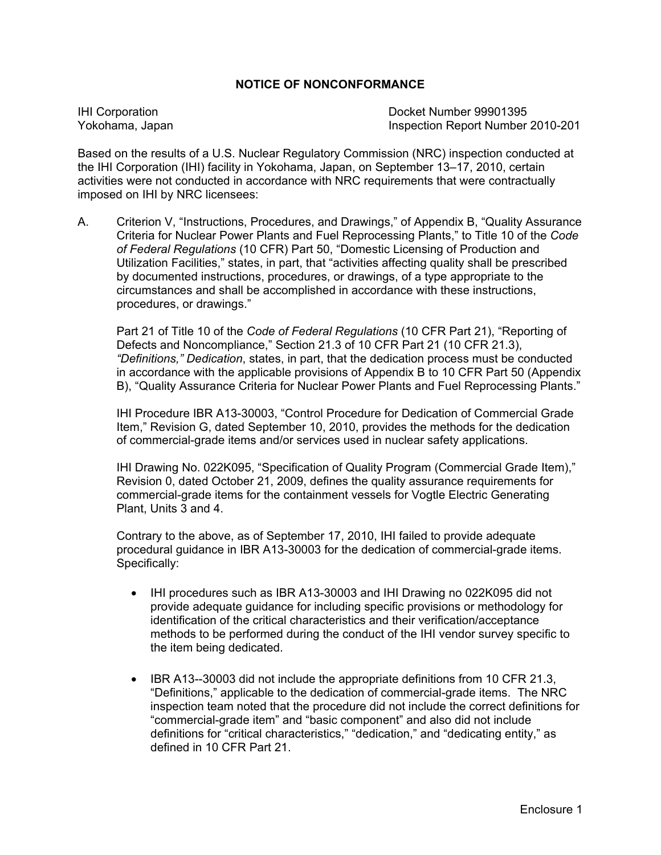### **NOTICE OF NONCONFORMANCE**

IHI Corporation Docket Number 99901395 Yokohama, Japan Inspection Report Number 2010-201

Based on the results of a U.S. Nuclear Regulatory Commission (NRC) inspection conducted at the IHI Corporation (IHI) facility in Yokohama, Japan, on September 13–17, 2010, certain activities were not conducted in accordance with NRC requirements that were contractually imposed on IHI by NRC licensees:

A. Criterion V, "Instructions, Procedures, and Drawings," of Appendix B, "Quality Assurance Criteria for Nuclear Power Plants and Fuel Reprocessing Plants," to Title 10 of the *Code of Federal Regulations* (10 CFR) Part 50, "Domestic Licensing of Production and Utilization Facilities," states, in part, that "activities affecting quality shall be prescribed by documented instructions, procedures, or drawings, of a type appropriate to the circumstances and shall be accomplished in accordance with these instructions, procedures, or drawings."

 Part 21 of Title 10 of the *Code of Federal Regulations* (10 CFR Part 21), "Reporting of Defects and Noncompliance," Section 21.3 of 10 CFR Part 21 (10 CFR 21.3),  *"Definitions," Dedication*, states, in part, that the dedication process must be conducted in accordance with the applicable provisions of Appendix B to 10 CFR Part 50 (Appendix B), "Quality Assurance Criteria for Nuclear Power Plants and Fuel Reprocessing Plants."

 IHI Procedure IBR A13-30003, "Control Procedure for Dedication of Commercial Grade Item," Revision G, dated September 10, 2010, provides the methods for the dedication of commercial-grade items and/or services used in nuclear safety applications.

 IHI Drawing No. 022K095, "Specification of Quality Program (Commercial Grade Item)," Revision 0, dated October 21, 2009, defines the quality assurance requirements for commercial-grade items for the containment vessels for Vogtle Electric Generating Plant, Units 3 and 4.

 Contrary to the above, as of September 17, 2010, IHI failed to provide adequate procedural guidance in IBR A13-30003 for the dedication of commercial-grade items. Specifically:

- IHI procedures such as IBR A13-30003 and IHI Drawing no 022K095 did not provide adequate guidance for including specific provisions or methodology for identification of the critical characteristics and their verification/acceptance methods to be performed during the conduct of the IHI vendor survey specific to the item being dedicated.
- IBR A13--30003 did not include the appropriate definitions from 10 CFR 21.3, "Definitions," applicable to the dedication of commercial-grade items. The NRC inspection team noted that the procedure did not include the correct definitions for "commercial-grade item" and "basic component" and also did not include definitions for "critical characteristics," "dedication," and "dedicating entity," as defined in 10 CFR Part 21.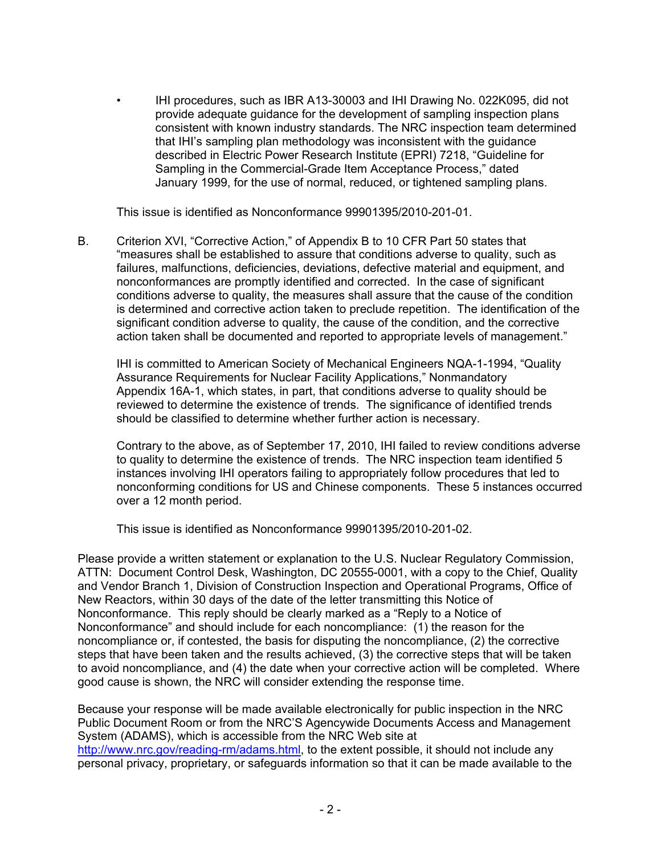• IHI procedures, such as IBR A13-30003 and IHI Drawing No. 022K095, did not provide adequate guidance for the development of sampling inspection plans consistent with known industry standards. The NRC inspection team determined that IHI's sampling plan methodology was inconsistent with the guidance described in Electric Power Research Institute (EPRI) 7218, "Guideline for Sampling in the Commercial-Grade Item Acceptance Process," dated January 1999, for the use of normal, reduced, or tightened sampling plans.

This issue is identified as Nonconformance 99901395/2010-201-01.

B. Criterion XVI, "Corrective Action," of Appendix B to 10 CFR Part 50 states that "measures shall be established to assure that conditions adverse to quality, such as failures, malfunctions, deficiencies, deviations, defective material and equipment, and nonconformances are promptly identified and corrected. In the case of significant conditions adverse to quality, the measures shall assure that the cause of the condition is determined and corrective action taken to preclude repetition. The identification of the significant condition adverse to quality, the cause of the condition, and the corrective action taken shall be documented and reported to appropriate levels of management."

IHI is committed to American Society of Mechanical Engineers NQA-1-1994, "Quality Assurance Requirements for Nuclear Facility Applications," Nonmandatory Appendix 16A-1, which states, in part, that conditions adverse to quality should be reviewed to determine the existence of trends. The significance of identified trends should be classified to determine whether further action is necessary.

Contrary to the above, as of September 17, 2010, IHI failed to review conditions adverse to quality to determine the existence of trends. The NRC inspection team identified 5 instances involving IHI operators failing to appropriately follow procedures that led to nonconforming conditions for US and Chinese components. These 5 instances occurred over a 12 month period.

This issue is identified as Nonconformance 99901395/2010-201-02.

Please provide a written statement or explanation to the U.S. Nuclear Regulatory Commission, ATTN: Document Control Desk, Washington, DC 20555-0001, with a copy to the Chief, Quality and Vendor Branch 1, Division of Construction Inspection and Operational Programs, Office of New Reactors, within 30 days of the date of the letter transmitting this Notice of Nonconformance. This reply should be clearly marked as a "Reply to a Notice of Nonconformance" and should include for each noncompliance: (1) the reason for the noncompliance or, if contested, the basis for disputing the noncompliance, (2) the corrective steps that have been taken and the results achieved, (3) the corrective steps that will be taken to avoid noncompliance, and (4) the date when your corrective action will be completed. Where good cause is shown, the NRC will consider extending the response time.

Because your response will be made available electronically for public inspection in the NRC Public Document Room or from the NRC'S Agencywide Documents Access and Management System (ADAMS), which is accessible from the NRC Web site at http://www.nrc.gov/reading-rm/adams.html, to the extent possible, it should not include any personal privacy, proprietary, or safeguards information so that it can be made available to the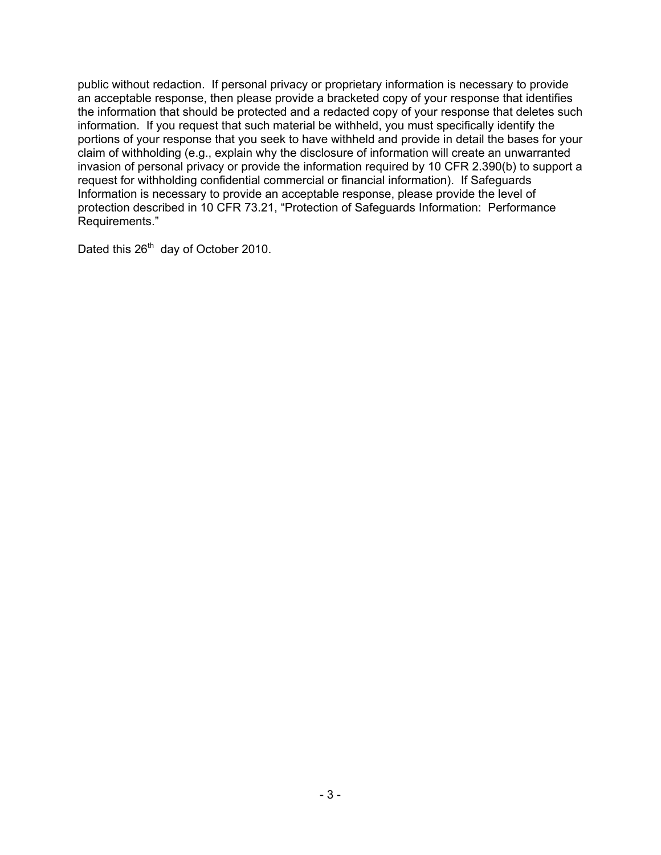public without redaction. If personal privacy or proprietary information is necessary to provide an acceptable response, then please provide a bracketed copy of your response that identifies the information that should be protected and a redacted copy of your response that deletes such information. If you request that such material be withheld, you must specifically identify the portions of your response that you seek to have withheld and provide in detail the bases for your claim of withholding (e.g., explain why the disclosure of information will create an unwarranted invasion of personal privacy or provide the information required by 10 CFR 2.390(b) to support a request for withholding confidential commercial or financial information). If Safeguards Information is necessary to provide an acceptable response, please provide the level of protection described in 10 CFR 73.21, "Protection of Safeguards Information: Performance Requirements."

Dated this 26<sup>th</sup> day of October 2010.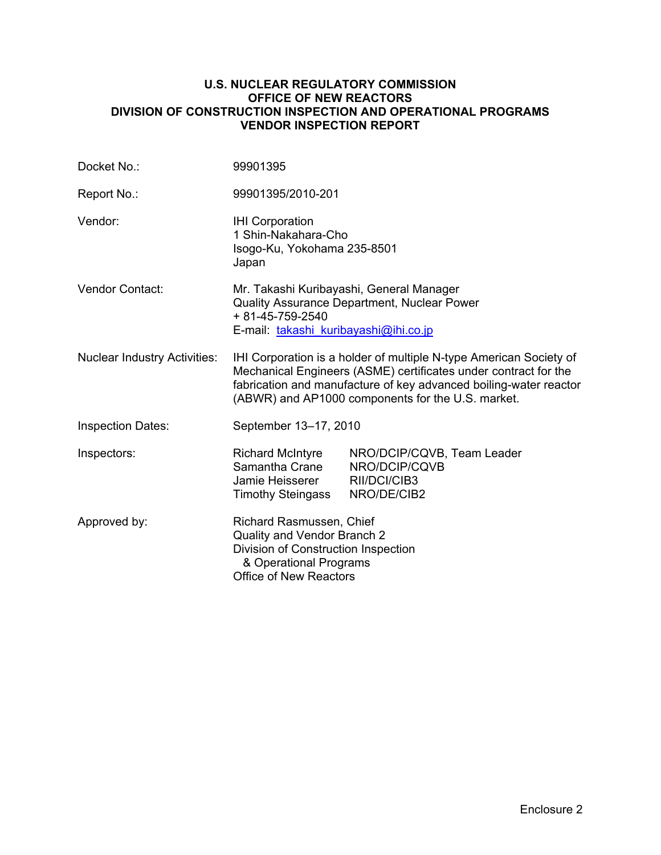#### **U.S. NUCLEAR REGULATORY COMMISSION OFFICE OF NEW REACTORS DIVISION OF CONSTRUCTION INSPECTION AND OPERATIONAL PROGRAMS VENDOR INSPECTION REPORT**

| Docket No.:                         | 99901395                                                                                                                                                                                                                                                        |                                                                            |  |  |  |
|-------------------------------------|-----------------------------------------------------------------------------------------------------------------------------------------------------------------------------------------------------------------------------------------------------------------|----------------------------------------------------------------------------|--|--|--|
| Report No.:                         | 99901395/2010-201                                                                                                                                                                                                                                               |                                                                            |  |  |  |
| Vendor:                             | <b>IHI Corporation</b><br>1 Shin-Nakahara-Cho<br>Isogo-Ku, Yokohama 235-8501<br>Japan                                                                                                                                                                           |                                                                            |  |  |  |
| Vendor Contact:                     | Mr. Takashi Kuribayashi, General Manager<br>Quality Assurance Department, Nuclear Power<br>+ 81-45-759-2540<br>E-mail: takashi kuribayashi@ihi.co.jp                                                                                                            |                                                                            |  |  |  |
| <b>Nuclear Industry Activities:</b> | IHI Corporation is a holder of multiple N-type American Society of<br>Mechanical Engineers (ASME) certificates under contract for the<br>fabrication and manufacture of key advanced boiling-water reactor<br>(ABWR) and AP1000 components for the U.S. market. |                                                                            |  |  |  |
| <b>Inspection Dates:</b>            | September 13-17, 2010                                                                                                                                                                                                                                           |                                                                            |  |  |  |
| Inspectors:                         | <b>Richard McIntyre</b><br>Samantha Crane<br>Jamie Heisserer<br><b>Timothy Steingass</b>                                                                                                                                                                        | NRO/DCIP/CQVB, Team Leader<br>NRO/DCIP/CQVB<br>RII/DCI/CIB3<br>NRO/DE/CIB2 |  |  |  |
| Approved by:                        | Richard Rasmussen, Chief<br>Quality and Vendor Branch 2<br>Division of Construction Inspection<br>& Operational Programs<br>Office of New Reactors                                                                                                              |                                                                            |  |  |  |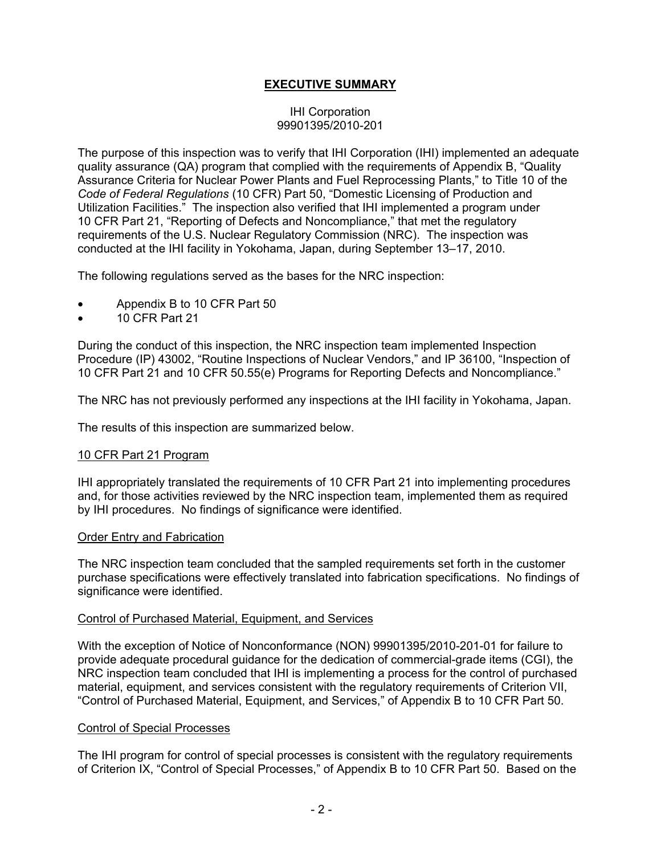## **EXECUTIVE SUMMARY**

#### IHI Corporation 99901395/2010-201

The purpose of this inspection was to verify that IHI Corporation (IHI) implemented an adequate quality assurance (QA) program that complied with the requirements of Appendix B, "Quality Assurance Criteria for Nuclear Power Plants and Fuel Reprocessing Plants," to Title 10 of the *Code of Federal Regulations* (10 CFR) Part 50, "Domestic Licensing of Production and Utilization Facilities." The inspection also verified that IHI implemented a program under 10 CFR Part 21, "Reporting of Defects and Noncompliance," that met the regulatory requirements of the U.S. Nuclear Regulatory Commission (NRC). The inspection was conducted at the IHI facility in Yokohama, Japan, during September 13–17, 2010.

The following regulations served as the bases for the NRC inspection:

- Appendix B to 10 CFR Part 50
- 10 CFR Part 21

During the conduct of this inspection, the NRC inspection team implemented Inspection Procedure (IP) 43002, "Routine Inspections of Nuclear Vendors," and IP 36100, "Inspection of 10 CFR Part 21 and 10 CFR 50.55(e) Programs for Reporting Defects and Noncompliance."

The NRC has not previously performed any inspections at the IHI facility in Yokohama, Japan.

The results of this inspection are summarized below.

#### 10 CFR Part 21 Program

IHI appropriately translated the requirements of 10 CFR Part 21 into implementing procedures and, for those activities reviewed by the NRC inspection team, implemented them as required by IHI procedures. No findings of significance were identified.

#### Order Entry and Fabrication

The NRC inspection team concluded that the sampled requirements set forth in the customer purchase specifications were effectively translated into fabrication specifications. No findings of significance were identified.

#### Control of Purchased Material, Equipment, and Services

With the exception of Notice of Nonconformance (NON) 99901395/2010-201-01 for failure to provide adequate procedural guidance for the dedication of commercial-grade items (CGI), the NRC inspection team concluded that IHI is implementing a process for the control of purchased material, equipment, and services consistent with the regulatory requirements of Criterion VII, "Control of Purchased Material, Equipment, and Services," of Appendix B to 10 CFR Part 50.

#### Control of Special Processes

The IHI program for control of special processes is consistent with the regulatory requirements of Criterion IX, "Control of Special Processes," of Appendix B to 10 CFR Part 50. Based on the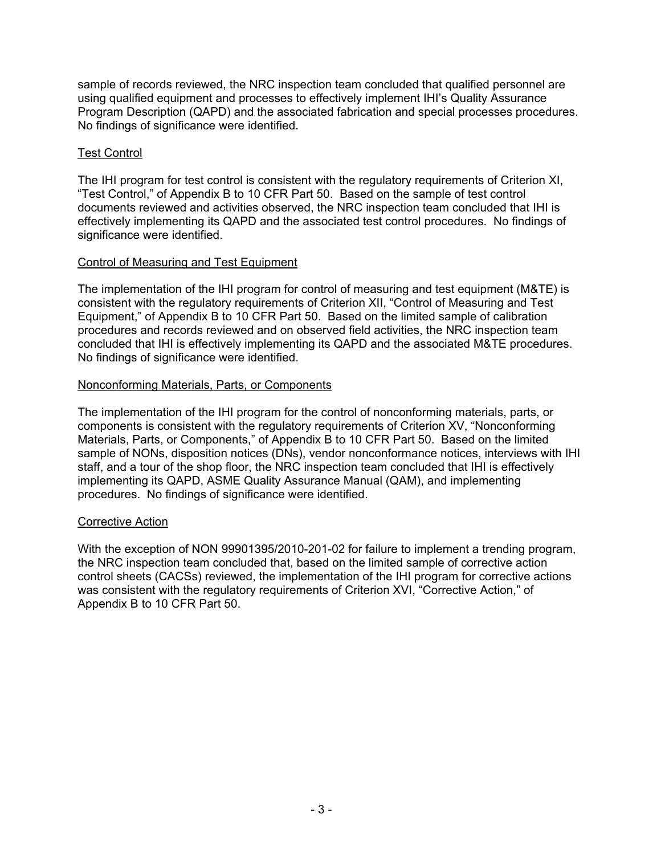sample of records reviewed, the NRC inspection team concluded that qualified personnel are using qualified equipment and processes to effectively implement IHI's Quality Assurance Program Description (QAPD) and the associated fabrication and special processes procedures. No findings of significance were identified.

### Test Control

The IHI program for test control is consistent with the regulatory requirements of Criterion XI, "Test Control," of Appendix B to 10 CFR Part 50. Based on the sample of test control documents reviewed and activities observed, the NRC inspection team concluded that IHI is effectively implementing its QAPD and the associated test control procedures. No findings of significance were identified.

### Control of Measuring and Test Equipment

The implementation of the IHI program for control of measuring and test equipment (M&TE) is consistent with the regulatory requirements of Criterion XII, "Control of Measuring and Test Equipment," of Appendix B to 10 CFR Part 50. Based on the limited sample of calibration procedures and records reviewed and on observed field activities, the NRC inspection team concluded that IHI is effectively implementing its QAPD and the associated M&TE procedures. No findings of significance were identified.

### Nonconforming Materials, Parts, or Components

The implementation of the IHI program for the control of nonconforming materials, parts, or components is consistent with the regulatory requirements of Criterion XV, "Nonconforming Materials, Parts, or Components," of Appendix B to 10 CFR Part 50. Based on the limited sample of NONs, disposition notices (DNs), vendor nonconformance notices, interviews with IHI staff, and a tour of the shop floor, the NRC inspection team concluded that IHI is effectively implementing its QAPD, ASME Quality Assurance Manual (QAM), and implementing procedures. No findings of significance were identified.

### Corrective Action

With the exception of NON 99901395/2010-201-02 for failure to implement a trending program, the NRC inspection team concluded that, based on the limited sample of corrective action control sheets (CACSs) reviewed, the implementation of the IHI program for corrective actions was consistent with the regulatory requirements of Criterion XVI, "Corrective Action," of Appendix B to 10 CFR Part 50.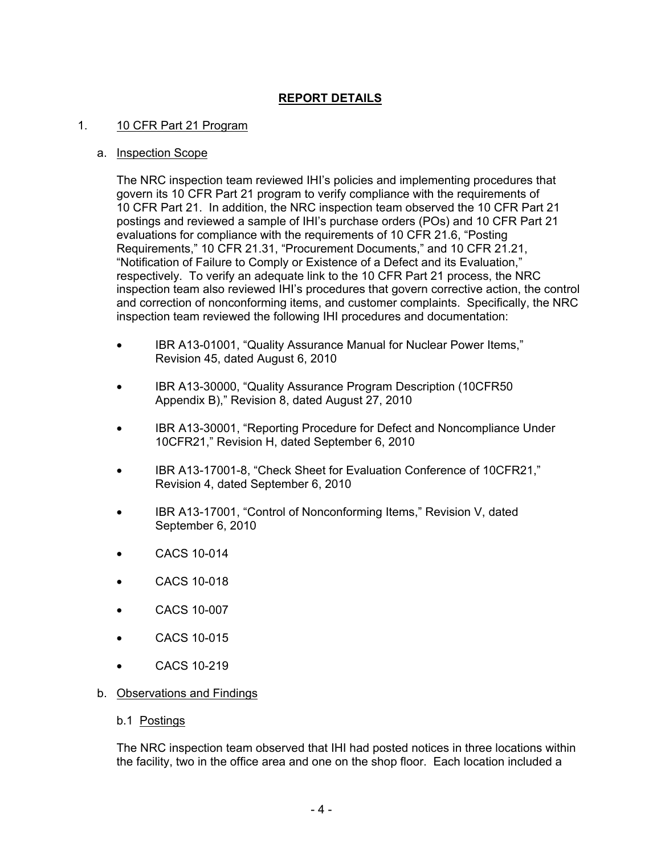## **REPORT DETAILS**

#### 1. 10 CFR Part 21 Program

#### a. Inspection Scope

The NRC inspection team reviewed IHI's policies and implementing procedures that govern its 10 CFR Part 21 program to verify compliance with the requirements of 10 CFR Part 21. In addition, the NRC inspection team observed the 10 CFR Part 21 postings and reviewed a sample of IHI's purchase orders (POs) and 10 CFR Part 21 evaluations for compliance with the requirements of 10 CFR 21.6, "Posting Requirements," 10 CFR 21.31, "Procurement Documents," and 10 CFR 21.21, "Notification of Failure to Comply or Existence of a Defect and its Evaluation," respectively. To verify an adequate link to the 10 CFR Part 21 process, the NRC inspection team also reviewed IHI's procedures that govern corrective action, the control and correction of nonconforming items, and customer complaints. Specifically, the NRC inspection team reviewed the following IHI procedures and documentation:

- IBR A13-01001, "Quality Assurance Manual for Nuclear Power Items," Revision 45, dated August 6, 2010
- IBR A13-30000, "Quality Assurance Program Description (10CFR50 Appendix B)," Revision 8, dated August 27, 2010
- IBR A13-30001, "Reporting Procedure for Defect and Noncompliance Under 10CFR21," Revision H, dated September 6, 2010
- IBR A13-17001-8, "Check Sheet for Evaluation Conference of 10CFR21," Revision 4, dated September 6, 2010
- IBR A13-17001, "Control of Nonconforming Items," Revision V, dated September 6, 2010
- CACS 10-014
- CACS 10-018
- CACS 10-007
- CACS 10-015
- CACS 10-219
- b. Observations and Findings
	- b.1 Postings

The NRC inspection team observed that IHI had posted notices in three locations within the facility, two in the office area and one on the shop floor. Each location included a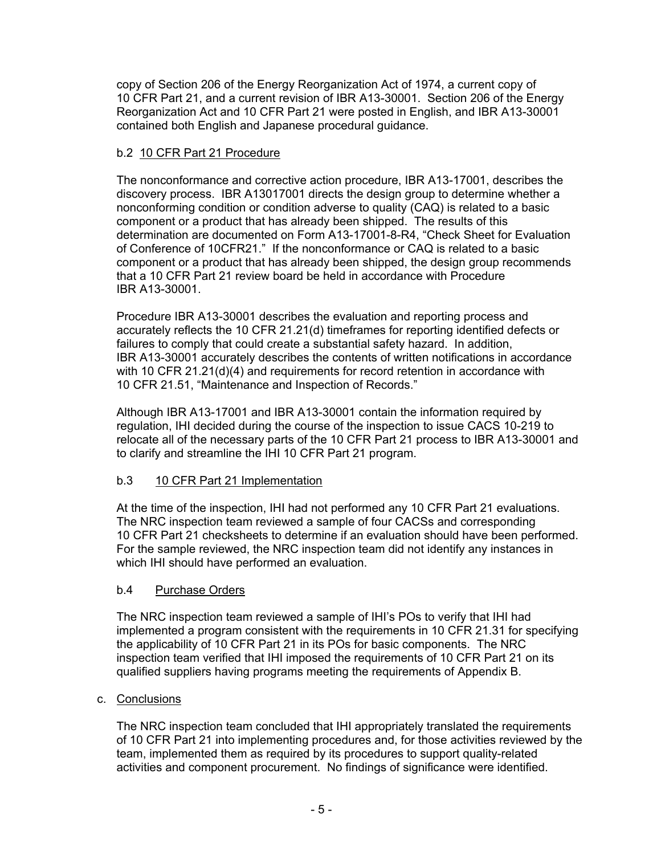copy of Section 206 of the Energy Reorganization Act of 1974, a current copy of 10 CFR Part 21, and a current revision of IBR A13-30001. Section 206 of the Energy Reorganization Act and 10 CFR Part 21 were posted in English, and IBR A13-30001 contained both English and Japanese procedural guidance.

## b.2 10 CFR Part 21 Procedure

The nonconformance and corrective action procedure, IBR A13-17001, describes the discovery process. IBR A13017001 directs the design group to determine whether a nonconforming condition or condition adverse to quality (CAQ) is related to a basic component or a product that has already been shipped. The results of this determination are documented on Form A13-17001-8-R4, "Check Sheet for Evaluation of Conference of 10CFR21." If the nonconformance or CAQ is related to a basic component or a product that has already been shipped, the design group recommends that a 10 CFR Part 21 review board be held in accordance with Procedure IBR A13-30001.

Procedure IBR A13-30001 describes the evaluation and reporting process and accurately reflects the 10 CFR 21.21(d) timeframes for reporting identified defects or failures to comply that could create a substantial safety hazard. In addition, IBR A13-30001 accurately describes the contents of written notifications in accordance with 10 CFR 21.21(d)(4) and requirements for record retention in accordance with 10 CFR 21.51, "Maintenance and Inspection of Records."

Although IBR A13-17001 and IBR A13-30001 contain the information required by regulation, IHI decided during the course of the inspection to issue CACS 10-219 to relocate all of the necessary parts of the 10 CFR Part 21 process to IBR A13-30001 and to clarify and streamline the IHI 10 CFR Part 21 program.

## b.3 10 CFR Part 21 Implementation

At the time of the inspection, IHI had not performed any 10 CFR Part 21 evaluations. The NRC inspection team reviewed a sample of four CACSs and corresponding 10 CFR Part 21 checksheets to determine if an evaluation should have been performed. For the sample reviewed, the NRC inspection team did not identify any instances in which IHI should have performed an evaluation.

## b.4 Purchase Orders

The NRC inspection team reviewed a sample of IHI's POs to verify that IHI had implemented a program consistent with the requirements in 10 CFR 21.31 for specifying the applicability of 10 CFR Part 21 in its POs for basic components. The NRC inspection team verified that IHI imposed the requirements of 10 CFR Part 21 on its qualified suppliers having programs meeting the requirements of Appendix B.

## c. Conclusions

The NRC inspection team concluded that IHI appropriately translated the requirements of 10 CFR Part 21 into implementing procedures and, for those activities reviewed by the team, implemented them as required by its procedures to support quality-related activities and component procurement. No findings of significance were identified.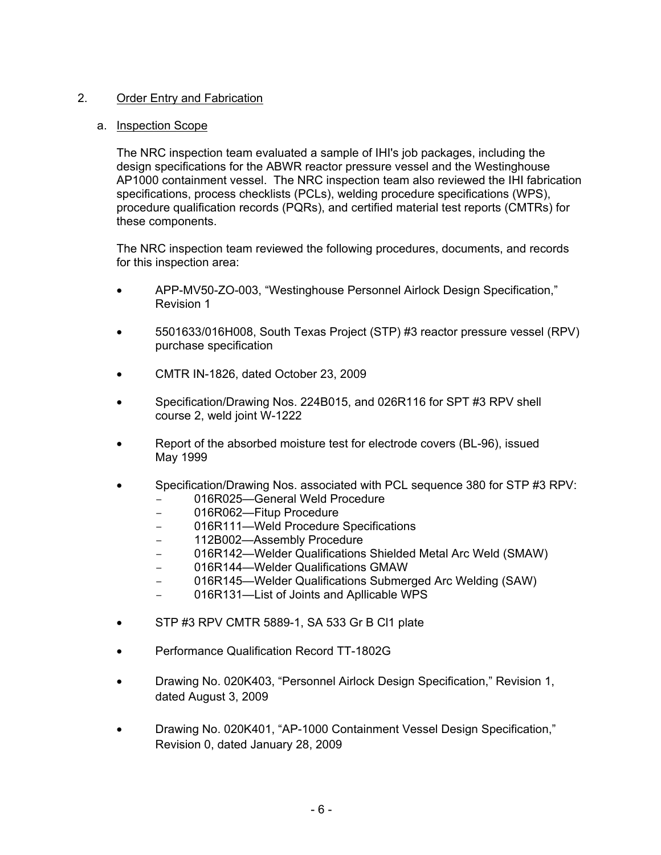## 2. Order Entry and Fabrication

#### a. Inspection Scope

The NRC inspection team evaluated a sample of IHI's job packages, including the design specifications for the ABWR reactor pressure vessel and the Westinghouse AP1000 containment vessel. The NRC inspection team also reviewed the IHI fabrication specifications, process checklists (PCLs), welding procedure specifications (WPS), procedure qualification records (PQRs), and certified material test reports (CMTRs) for these components.

The NRC inspection team reviewed the following procedures, documents, and records for this inspection area:

- APP-MV50-ZO-003, "Westinghouse Personnel Airlock Design Specification," Revision 1
- 5501633/016H008, South Texas Project (STP) #3 reactor pressure vessel (RPV) purchase specification
- CMTR IN-1826, dated October 23, 2009
- Specification/Drawing Nos. 224B015, and 026R116 for SPT #3 RPV shell course 2, weld joint W-1222
- Report of the absorbed moisture test for electrode covers (BL-96), issued May 1999
- Specification/Drawing Nos. associated with PCL sequence 380 for STP #3 RPV:
	- 016R025—General Weld Procedure
	- 016R062-Fitup Procedure
	- 016R111—Weld Procedure Specifications
	- 112B002—Assembly Procedure
	- 016R142—Welder Qualifications Shielded Metal Arc Weld (SMAW)
	- 016R144—Welder Qualifications GMAW
	- 016R145—Welder Qualifications Submerged Arc Welding (SAW)
	- 016R131—List of Joints and Apllicable WPS
- STP #3 RPV CMTR 5889-1, SA 533 Gr B Cl1 plate
- Performance Qualification Record TT-1802G
- Drawing No. 020K403, "Personnel Airlock Design Specification," Revision 1, dated August 3, 2009
- Drawing No. 020K401, "AP-1000 Containment Vessel Design Specification," Revision 0, dated January 28, 2009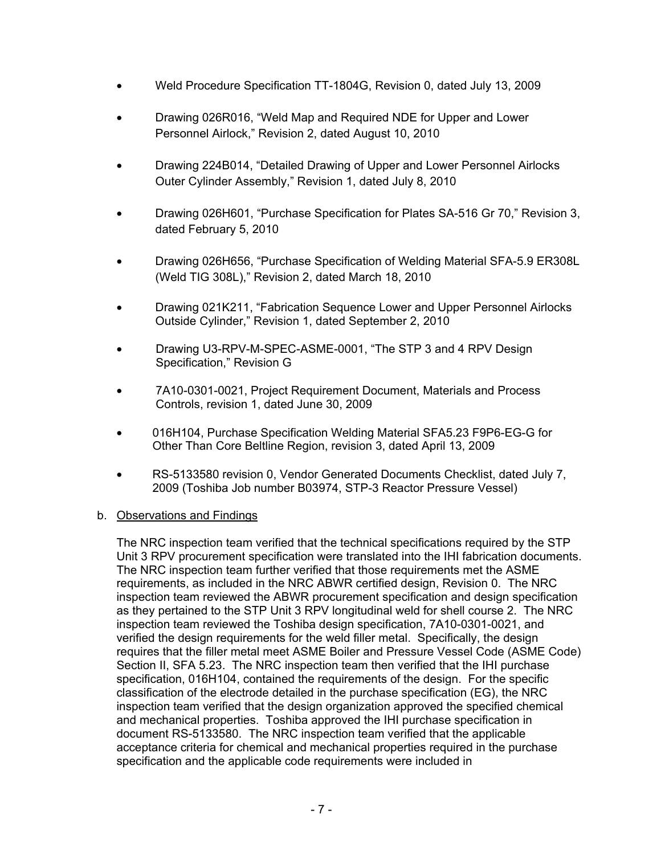- Weld Procedure Specification TT-1804G, Revision 0, dated July 13, 2009
- Drawing 026R016, "Weld Map and Required NDE for Upper and Lower Personnel Airlock," Revision 2, dated August 10, 2010
- Drawing 224B014, "Detailed Drawing of Upper and Lower Personnel Airlocks Outer Cylinder Assembly," Revision 1, dated July 8, 2010
- Drawing 026H601, "Purchase Specification for Plates SA-516 Gr 70," Revision 3, dated February 5, 2010
- Drawing 026H656, "Purchase Specification of Welding Material SFA-5.9 ER308L (Weld TIG 308L)," Revision 2, dated March 18, 2010
- Drawing 021K211, "Fabrication Sequence Lower and Upper Personnel Airlocks Outside Cylinder," Revision 1, dated September 2, 2010
- Drawing U3-RPV-M-SPEC-ASME-0001, "The STP 3 and 4 RPV Design Specification," Revision G
- 7A10-0301-0021, Project Requirement Document, Materials and Process Controls, revision 1, dated June 30, 2009
- 016H104, Purchase Specification Welding Material SFA5.23 F9P6-EG-G for Other Than Core Beltline Region, revision 3, dated April 13, 2009
- RS-5133580 revision 0, Vendor Generated Documents Checklist, dated July 7, 2009 (Toshiba Job number B03974, STP-3 Reactor Pressure Vessel)

### b. Observations and Findings

The NRC inspection team verified that the technical specifications required by the STP Unit 3 RPV procurement specification were translated into the IHI fabrication documents. The NRC inspection team further verified that those requirements met the ASME requirements, as included in the NRC ABWR certified design, Revision 0. The NRC inspection team reviewed the ABWR procurement specification and design specification as they pertained to the STP Unit 3 RPV longitudinal weld for shell course 2. The NRC inspection team reviewed the Toshiba design specification, 7A10-0301-0021, and verified the design requirements for the weld filler metal. Specifically, the design requires that the filler metal meet ASME Boiler and Pressure Vessel Code (ASME Code) Section II, SFA 5.23. The NRC inspection team then verified that the IHI purchase specification, 016H104, contained the requirements of the design. For the specific classification of the electrode detailed in the purchase specification (EG), the NRC inspection team verified that the design organization approved the specified chemical and mechanical properties. Toshiba approved the IHI purchase specification in document RS-5133580. The NRC inspection team verified that the applicable acceptance criteria for chemical and mechanical properties required in the purchase specification and the applicable code requirements were included in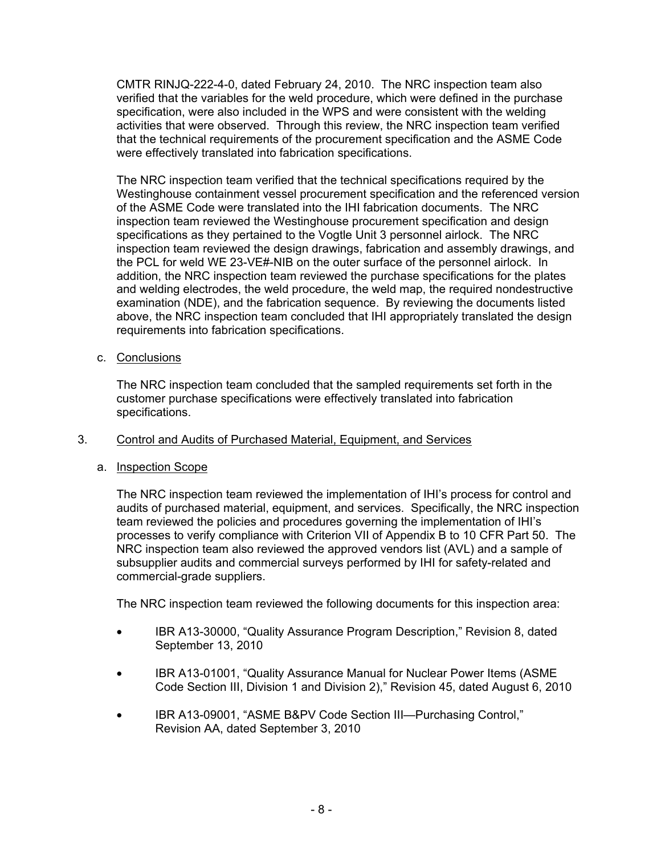CMTR RINJQ-222-4-0, dated February 24, 2010. The NRC inspection team also verified that the variables for the weld procedure, which were defined in the purchase specification, were also included in the WPS and were consistent with the welding activities that were observed. Through this review, the NRC inspection team verified that the technical requirements of the procurement specification and the ASME Code were effectively translated into fabrication specifications.

The NRC inspection team verified that the technical specifications required by the Westinghouse containment vessel procurement specification and the referenced version of the ASME Code were translated into the IHI fabrication documents. The NRC inspection team reviewed the Westinghouse procurement specification and design specifications as they pertained to the Vogtle Unit 3 personnel airlock. The NRC inspection team reviewed the design drawings, fabrication and assembly drawings, and the PCL for weld WE 23-VE#-NIB on the outer surface of the personnel airlock. In addition, the NRC inspection team reviewed the purchase specifications for the plates and welding electrodes, the weld procedure, the weld map, the required nondestructive examination (NDE), and the fabrication sequence. By reviewing the documents listed above, the NRC inspection team concluded that IHI appropriately translated the design requirements into fabrication specifications.

c. Conclusions

The NRC inspection team concluded that the sampled requirements set forth in the customer purchase specifications were effectively translated into fabrication specifications.

## 3. Control and Audits of Purchased Material, Equipment, and Services

## a. Inspection Scope

The NRC inspection team reviewed the implementation of IHI's process for control and audits of purchased material, equipment, and services. Specifically, the NRC inspection team reviewed the policies and procedures governing the implementation of IHI's processes to verify compliance with Criterion VII of Appendix B to 10 CFR Part 50. The NRC inspection team also reviewed the approved vendors list (AVL) and a sample of subsupplier audits and commercial surveys performed by IHI for safety-related and commercial-grade suppliers.

The NRC inspection team reviewed the following documents for this inspection area:

- IBR A13-30000, "Quality Assurance Program Description," Revision 8, dated September 13, 2010
- IBR A13-01001, "Quality Assurance Manual for Nuclear Power Items (ASME Code Section III, Division 1 and Division 2)," Revision 45, dated August 6, 2010
- IBR A13-09001, "ASME B&PV Code Section III—Purchasing Control," Revision AA, dated September 3, 2010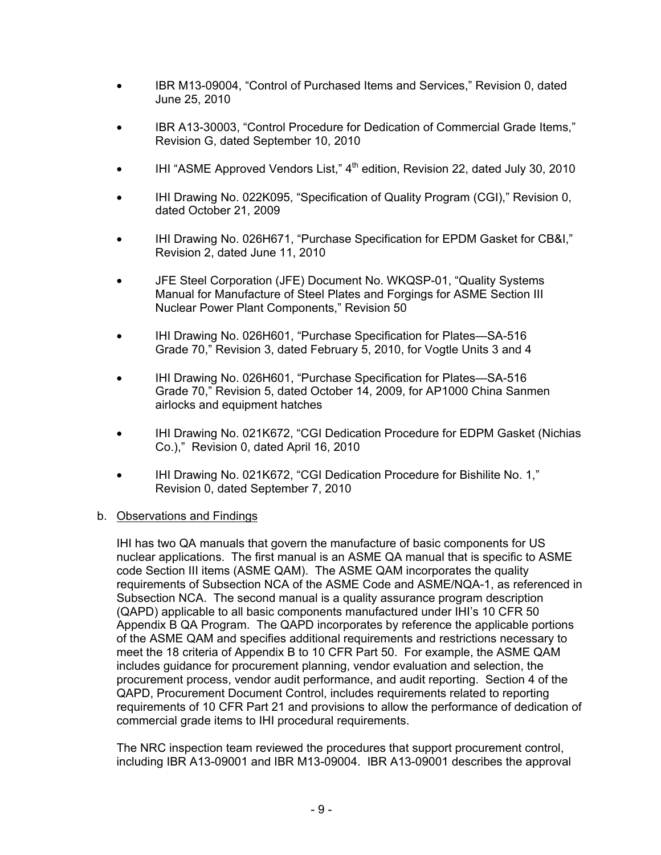- IBR M13-09004, "Control of Purchased Items and Services," Revision 0, dated June 25, 2010
- IBR A13-30003, "Control Procedure for Dedication of Commercial Grade Items," Revision G, dated September 10, 2010
- IHI "ASME Approved Vendors List,"  $4<sup>th</sup>$  edition, Revision 22, dated July 30, 2010
- IHI Drawing No. 022K095, "Specification of Quality Program (CGI)," Revision 0, dated October 21, 2009
- IHI Drawing No. 026H671, "Purchase Specification for EPDM Gasket for CB&I," Revision 2, dated June 11, 2010
- JFE Steel Corporation (JFE) Document No. WKQSP-01, "Quality Systems Manual for Manufacture of Steel Plates and Forgings for ASME Section III Nuclear Power Plant Components," Revision 50
- IHI Drawing No. 026H601, "Purchase Specification for Plates—SA-516 Grade 70," Revision 3, dated February 5, 2010, for Vogtle Units 3 and 4
- IHI Drawing No. 026H601, "Purchase Specification for Plates—SA-516 Grade 70," Revision 5, dated October 14, 2009, for AP1000 China Sanmen airlocks and equipment hatches
- IHI Drawing No. 021K672, "CGI Dedication Procedure for EDPM Gasket (Nichias Co.)," Revision 0, dated April 16, 2010
- IHI Drawing No. 021K672, "CGI Dedication Procedure for Bishilite No. 1," Revision 0, dated September 7, 2010

### b. Observations and Findings

IHI has two QA manuals that govern the manufacture of basic components for US nuclear applications. The first manual is an ASME QA manual that is specific to ASME code Section III items (ASME QAM). The ASME QAM incorporates the quality requirements of Subsection NCA of the ASME Code and ASME/NQA-1, as referenced in Subsection NCA. The second manual is a quality assurance program description (QAPD) applicable to all basic components manufactured under IHI's 10 CFR 50 Appendix B QA Program. The QAPD incorporates by reference the applicable portions of the ASME QAM and specifies additional requirements and restrictions necessary to meet the 18 criteria of Appendix B to 10 CFR Part 50. For example, the ASME QAM includes guidance for procurement planning, vendor evaluation and selection, the procurement process, vendor audit performance, and audit reporting. Section 4 of the QAPD, Procurement Document Control, includes requirements related to reporting requirements of 10 CFR Part 21 and provisions to allow the performance of dedication of commercial grade items to IHI procedural requirements.

The NRC inspection team reviewed the procedures that support procurement control, including IBR A13-09001 and IBR M13-09004. IBR A13-09001 describes the approval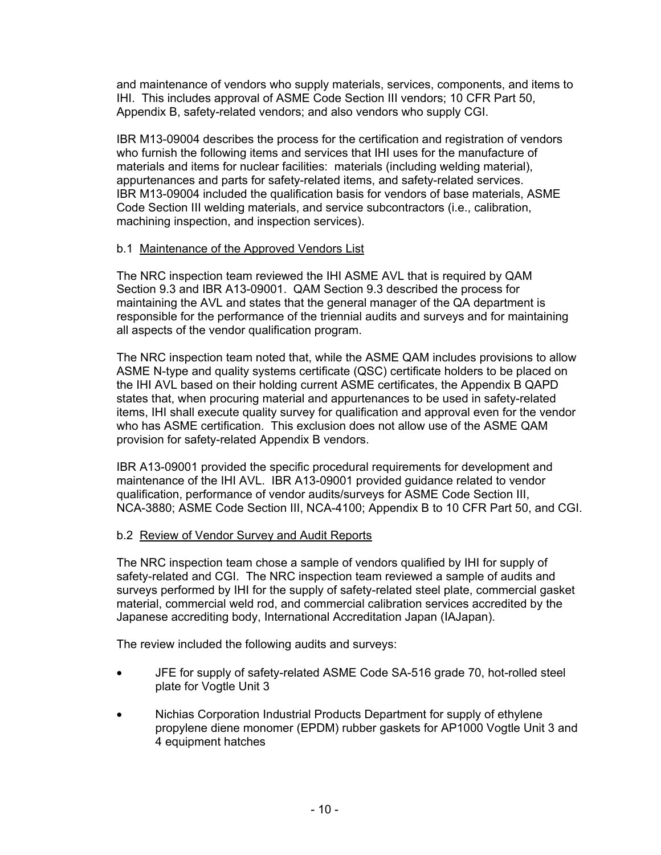and maintenance of vendors who supply materials, services, components, and items to IHI. This includes approval of ASME Code Section III vendors; 10 CFR Part 50, Appendix B, safety-related vendors; and also vendors who supply CGI.

IBR M13-09004 describes the process for the certification and registration of vendors who furnish the following items and services that IHI uses for the manufacture of materials and items for nuclear facilities: materials (including welding material), appurtenances and parts for safety-related items, and safety-related services. IBR M13-09004 included the qualification basis for vendors of base materials, ASME Code Section III welding materials, and service subcontractors (i.e., calibration, machining inspection, and inspection services).

### b.1 Maintenance of the Approved Vendors List

The NRC inspection team reviewed the IHI ASME AVL that is required by QAM Section 9.3 and IBR A13-09001. QAM Section 9.3 described the process for maintaining the AVL and states that the general manager of the QA department is responsible for the performance of the triennial audits and surveys and for maintaining all aspects of the vendor qualification program.

The NRC inspection team noted that, while the ASME QAM includes provisions to allow ASME N-type and quality systems certificate (QSC) certificate holders to be placed on the IHI AVL based on their holding current ASME certificates, the Appendix B QAPD states that, when procuring material and appurtenances to be used in safety-related items, IHI shall execute quality survey for qualification and approval even for the vendor who has ASME certification. This exclusion does not allow use of the ASME QAM provision for safety-related Appendix B vendors.

IBR A13-09001 provided the specific procedural requirements for development and maintenance of the IHI AVL. IBR A13-09001 provided guidance related to vendor qualification, performance of vendor audits/surveys for ASME Code Section III, NCA-3880; ASME Code Section III, NCA-4100; Appendix B to 10 CFR Part 50, and CGI.

### b.2 Review of Vendor Survey and Audit Reports

The NRC inspection team chose a sample of vendors qualified by IHI for supply of safety-related and CGI. The NRC inspection team reviewed a sample of audits and surveys performed by IHI for the supply of safety-related steel plate, commercial gasket material, commercial weld rod, and commercial calibration services accredited by the Japanese accrediting body, International Accreditation Japan (IAJapan).

The review included the following audits and surveys:

- JFE for supply of safety-related ASME Code SA-516 grade 70, hot-rolled steel plate for Vogtle Unit 3
- Nichias Corporation Industrial Products Department for supply of ethylene propylene diene monomer (EPDM) rubber gaskets for AP1000 Vogtle Unit 3 and 4 equipment hatches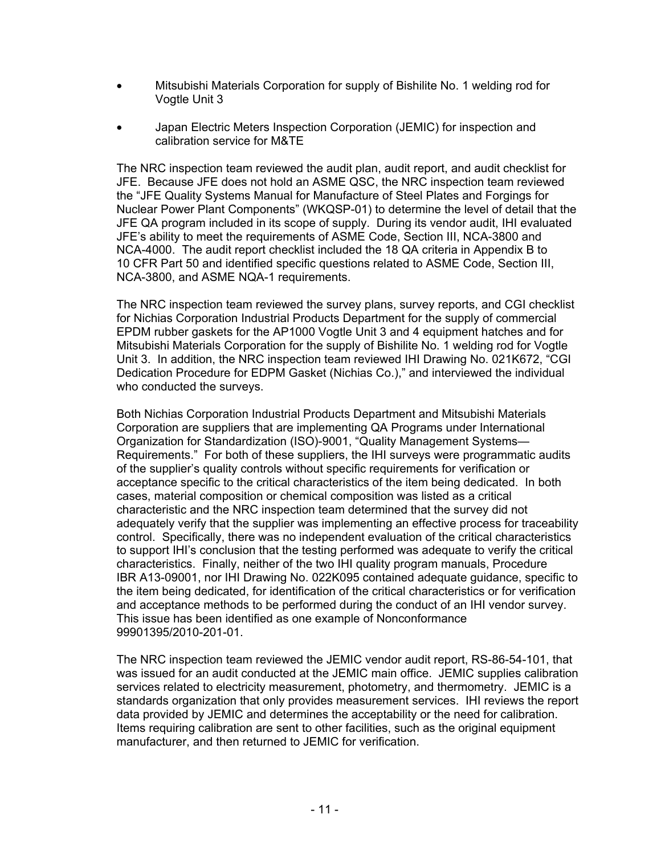- Mitsubishi Materials Corporation for supply of Bishilite No. 1 welding rod for Vogtle Unit 3
- Japan Electric Meters Inspection Corporation (JEMIC) for inspection and calibration service for M&TE

The NRC inspection team reviewed the audit plan, audit report, and audit checklist for JFE. Because JFE does not hold an ASME QSC, the NRC inspection team reviewed the "JFE Quality Systems Manual for Manufacture of Steel Plates and Forgings for Nuclear Power Plant Components" (WKQSP-01) to determine the level of detail that the JFE QA program included in its scope of supply. During its vendor audit, IHI evaluated JFE's ability to meet the requirements of ASME Code, Section III, NCA-3800 and NCA-4000. The audit report checklist included the 18 QA criteria in Appendix B to 10 CFR Part 50 and identified specific questions related to ASME Code, Section III, NCA-3800, and ASME NQA-1 requirements.

The NRC inspection team reviewed the survey plans, survey reports, and CGI checklist for Nichias Corporation Industrial Products Department for the supply of commercial EPDM rubber gaskets for the AP1000 Vogtle Unit 3 and 4 equipment hatches and for Mitsubishi Materials Corporation for the supply of Bishilite No. 1 welding rod for Vogtle Unit 3. In addition, the NRC inspection team reviewed IHI Drawing No. 021K672, "CGI Dedication Procedure for EDPM Gasket (Nichias Co.)," and interviewed the individual who conducted the surveys.

Both Nichias Corporation Industrial Products Department and Mitsubishi Materials Corporation are suppliers that are implementing QA Programs under International Organization for Standardization (ISO)-9001, "Quality Management Systems— Requirements." For both of these suppliers, the IHI surveys were programmatic audits of the supplier's quality controls without specific requirements for verification or acceptance specific to the critical characteristics of the item being dedicated. In both cases, material composition or chemical composition was listed as a critical characteristic and the NRC inspection team determined that the survey did not adequately verify that the supplier was implementing an effective process for traceability control. Specifically, there was no independent evaluation of the critical characteristics to support IHI's conclusion that the testing performed was adequate to verify the critical characteristics. Finally, neither of the two IHI quality program manuals, Procedure IBR A13-09001, nor IHI Drawing No. 022K095 contained adequate guidance, specific to the item being dedicated, for identification of the critical characteristics or for verification and acceptance methods to be performed during the conduct of an IHI vendor survey. This issue has been identified as one example of Nonconformance 99901395/2010-201-01.

The NRC inspection team reviewed the JEMIC vendor audit report, RS-86-54-101, that was issued for an audit conducted at the JEMIC main office. JEMIC supplies calibration services related to electricity measurement, photometry, and thermometry. JEMIC is a standards organization that only provides measurement services. IHI reviews the report data provided by JEMIC and determines the acceptability or the need for calibration. Items requiring calibration are sent to other facilities, such as the original equipment manufacturer, and then returned to JEMIC for verification.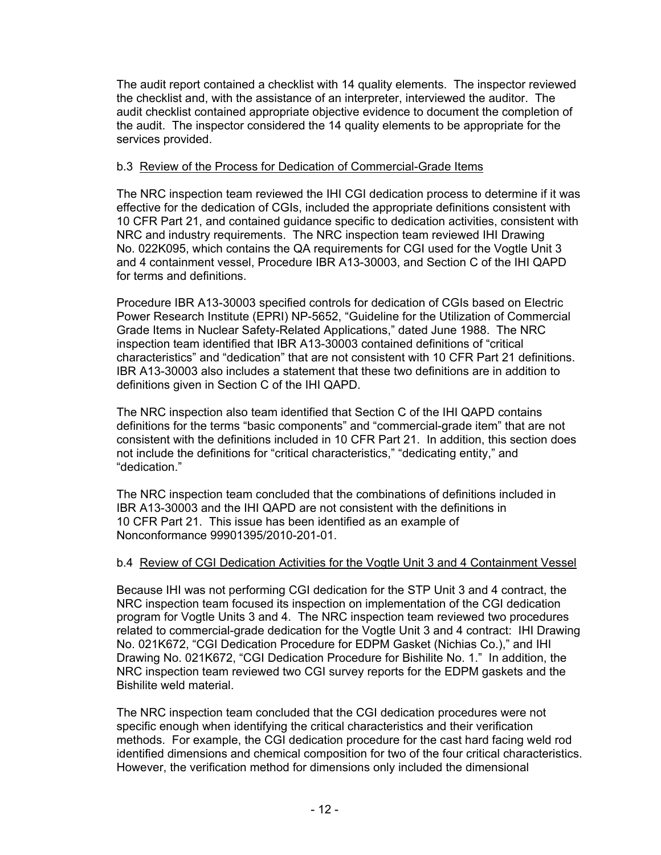The audit report contained a checklist with 14 quality elements. The inspector reviewed the checklist and, with the assistance of an interpreter, interviewed the auditor. The audit checklist contained appropriate objective evidence to document the completion of the audit. The inspector considered the 14 quality elements to be appropriate for the services provided.

### b.3 Review of the Process for Dedication of Commercial-Grade Items

The NRC inspection team reviewed the IHI CGI dedication process to determine if it was effective for the dedication of CGIs, included the appropriate definitions consistent with 10 CFR Part 21, and contained guidance specific to dedication activities, consistent with NRC and industry requirements. The NRC inspection team reviewed IHI Drawing No. 022K095, which contains the QA requirements for CGI used for the Vogtle Unit 3 and 4 containment vessel, Procedure IBR A13-30003, and Section C of the IHI QAPD for terms and definitions.

Procedure IBR A13-30003 specified controls for dedication of CGIs based on Electric Power Research Institute (EPRI) NP-5652, "Guideline for the Utilization of Commercial Grade Items in Nuclear Safety-Related Applications," dated June 1988. The NRC inspection team identified that IBR A13-30003 contained definitions of "critical characteristics" and "dedication" that are not consistent with 10 CFR Part 21 definitions. IBR A13-30003 also includes a statement that these two definitions are in addition to definitions given in Section C of the IHI QAPD.

The NRC inspection also team identified that Section C of the IHI QAPD contains definitions for the terms "basic components" and "commercial-grade item" that are not consistent with the definitions included in 10 CFR Part 21. In addition, this section does not include the definitions for "critical characteristics," "dedicating entity," and "dedication."

The NRC inspection team concluded that the combinations of definitions included in IBR A13-30003 and the IHI QAPD are not consistent with the definitions in 10 CFR Part 21. This issue has been identified as an example of Nonconformance 99901395/2010-201-01.

### b.4 Review of CGI Dedication Activities for the Vogtle Unit 3 and 4 Containment Vessel

Because IHI was not performing CGI dedication for the STP Unit 3 and 4 contract, the NRC inspection team focused its inspection on implementation of the CGI dedication program for Vogtle Units 3 and 4. The NRC inspection team reviewed two procedures related to commercial-grade dedication for the Vogtle Unit 3 and 4 contract: IHI Drawing No. 021K672, "CGI Dedication Procedure for EDPM Gasket (Nichias Co.)," and IHI Drawing No. 021K672, "CGI Dedication Procedure for Bishilite No. 1." In addition, the NRC inspection team reviewed two CGI survey reports for the EDPM gaskets and the Bishilite weld material.

The NRC inspection team concluded that the CGI dedication procedures were not specific enough when identifying the critical characteristics and their verification methods. For example, the CGI dedication procedure for the cast hard facing weld rod identified dimensions and chemical composition for two of the four critical characteristics. However, the verification method for dimensions only included the dimensional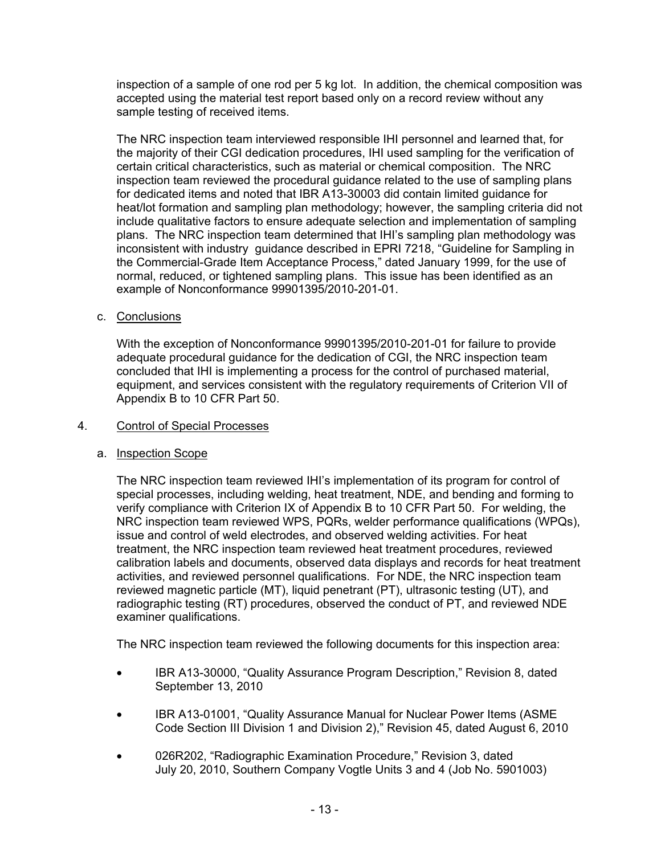inspection of a sample of one rod per 5 kg lot. In addition, the chemical composition was accepted using the material test report based only on a record review without any sample testing of received items.

The NRC inspection team interviewed responsible IHI personnel and learned that, for the majority of their CGI dedication procedures, IHI used sampling for the verification of certain critical characteristics, such as material or chemical composition. The NRC inspection team reviewed the procedural guidance related to the use of sampling plans for dedicated items and noted that IBR A13-30003 did contain limited guidance for heat/lot formation and sampling plan methodology; however, the sampling criteria did not include qualitative factors to ensure adequate selection and implementation of sampling plans. The NRC inspection team determined that IHI's sampling plan methodology was inconsistent with industry guidance described in EPRI 7218, "Guideline for Sampling in the Commercial-Grade Item Acceptance Process," dated January 1999, for the use of normal, reduced, or tightened sampling plans. This issue has been identified as an example of Nonconformance 99901395/2010-201-01.

c. Conclusions

With the exception of Nonconformance 99901395/2010-201-01 for failure to provide adequate procedural guidance for the dedication of CGI, the NRC inspection team concluded that IHI is implementing a process for the control of purchased material, equipment, and services consistent with the regulatory requirements of Criterion VII of Appendix B to 10 CFR Part 50.

## 4. Control of Special Processes

## a. Inspection Scope

The NRC inspection team reviewed IHI's implementation of its program for control of special processes, including welding, heat treatment, NDE, and bending and forming to verify compliance with Criterion IX of Appendix B to 10 CFR Part 50. For welding, the NRC inspection team reviewed WPS, PQRs, welder performance qualifications (WPQs), issue and control of weld electrodes, and observed welding activities. For heat treatment, the NRC inspection team reviewed heat treatment procedures, reviewed calibration labels and documents, observed data displays and records for heat treatment activities, and reviewed personnel qualifications. For NDE, the NRC inspection team reviewed magnetic particle (MT), liquid penetrant (PT), ultrasonic testing (UT), and radiographic testing (RT) procedures, observed the conduct of PT, and reviewed NDE examiner qualifications.

The NRC inspection team reviewed the following documents for this inspection area:

- IBR A13-30000, "Quality Assurance Program Description," Revision 8, dated September 13, 2010
- IBR A13-01001, "Quality Assurance Manual for Nuclear Power Items (ASME Code Section III Division 1 and Division 2)," Revision 45, dated August 6, 2010
- 026R202, "Radiographic Examination Procedure," Revision 3, dated July 20, 2010, Southern Company Vogtle Units 3 and 4 (Job No. 5901003)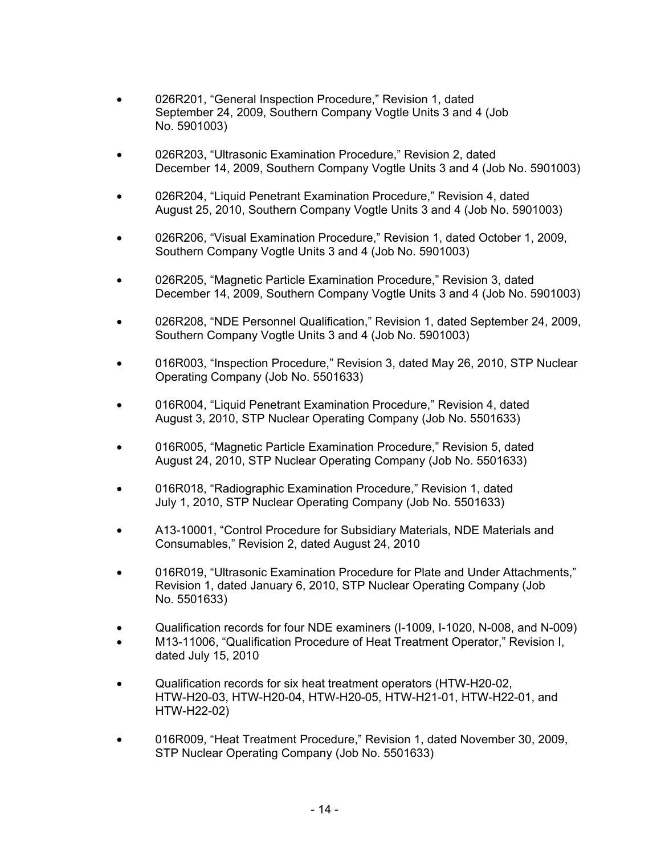- 026R201, "General Inspection Procedure," Revision 1, dated September 24, 2009, Southern Company Vogtle Units 3 and 4 (Job No. 5901003)
- 026R203, "Ultrasonic Examination Procedure," Revision 2, dated December 14, 2009, Southern Company Vogtle Units 3 and 4 (Job No. 5901003)
- 026R204, "Liquid Penetrant Examination Procedure," Revision 4, dated August 25, 2010, Southern Company Vogtle Units 3 and 4 (Job No. 5901003)
- 026R206, "Visual Examination Procedure," Revision 1, dated October 1, 2009, Southern Company Vogtle Units 3 and 4 (Job No. 5901003)
- 026R205, "Magnetic Particle Examination Procedure," Revision 3, dated December 14, 2009, Southern Company Vogtle Units 3 and 4 (Job No. 5901003)
- 026R208, "NDE Personnel Qualification," Revision 1, dated September 24, 2009, Southern Company Vogtle Units 3 and 4 (Job No. 5901003)
- 016R003, "Inspection Procedure," Revision 3, dated May 26, 2010, STP Nuclear Operating Company (Job No. 5501633)
- 016R004, "Liquid Penetrant Examination Procedure," Revision 4, dated August 3, 2010, STP Nuclear Operating Company (Job No. 5501633)
- 016R005, "Magnetic Particle Examination Procedure," Revision 5, dated August 24, 2010, STP Nuclear Operating Company (Job No. 5501633)
- 016R018, "Radiographic Examination Procedure," Revision 1, dated July 1, 2010, STP Nuclear Operating Company (Job No. 5501633)
- A13-10001, "Control Procedure for Subsidiary Materials, NDE Materials and Consumables," Revision 2, dated August 24, 2010
- 016R019, "Ultrasonic Examination Procedure for Plate and Under Attachments," Revision 1, dated January 6, 2010, STP Nuclear Operating Company (Job No. 5501633)
- Qualification records for four NDE examiners (I-1009, I-1020, N-008, and N-009)
- M13-11006, "Qualification Procedure of Heat Treatment Operator," Revision I, dated July 15, 2010
- Qualification records for six heat treatment operators (HTW-H20-02, HTW-H20-03, HTW-H20-04, HTW-H20-05, HTW-H21-01, HTW-H22-01, and HTW-H22-02)
- 016R009, "Heat Treatment Procedure," Revision 1, dated November 30, 2009, STP Nuclear Operating Company (Job No. 5501633)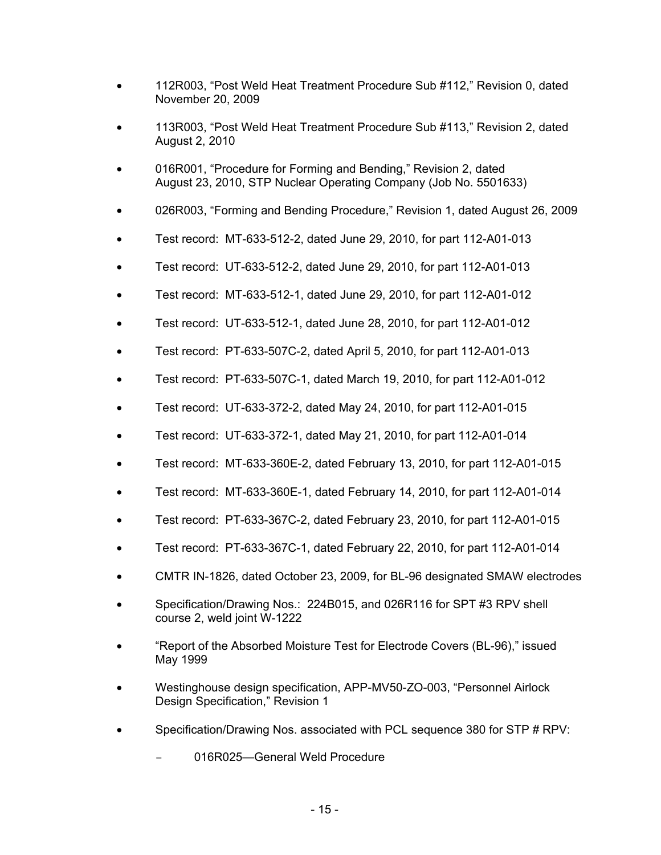- 112R003, "Post Weld Heat Treatment Procedure Sub #112," Revision 0, dated November 20, 2009
- 113R003, "Post Weld Heat Treatment Procedure Sub #113," Revision 2, dated August 2, 2010
- 016R001, "Procedure for Forming and Bending," Revision 2, dated August 23, 2010, STP Nuclear Operating Company (Job No. 5501633)
- 026R003, "Forming and Bending Procedure," Revision 1, dated August 26, 2009
- Test record: MT-633-512-2, dated June 29, 2010, for part 112-A01-013
- Test record: UT-633-512-2, dated June 29, 2010, for part 112-A01-013
- Test record: MT-633-512-1, dated June 29, 2010, for part 112-A01-012
- Test record: UT-633-512-1, dated June 28, 2010, for part 112-A01-012
- Test record: PT-633-507C-2, dated April 5, 2010, for part 112-A01-013
- Test record: PT-633-507C-1, dated March 19, 2010, for part 112-A01-012
- Test record: UT-633-372-2, dated May 24, 2010, for part 112-A01-015
- Test record: UT-633-372-1, dated May 21, 2010, for part 112-A01-014
- Test record: MT-633-360E-2, dated February 13, 2010, for part 112-A01-015
- Test record: MT-633-360E-1, dated February 14, 2010, for part 112-A01-014
- Test record: PT-633-367C-2, dated February 23, 2010, for part 112-A01-015
- Test record: PT-633-367C-1, dated February 22, 2010, for part 112-A01-014
- CMTR IN-1826, dated October 23, 2009, for BL-96 designated SMAW electrodes
- Specification/Drawing Nos.: 224B015, and 026R116 for SPT #3 RPV shell course 2, weld joint W-1222
- "Report of the Absorbed Moisture Test for Electrode Covers (BL-96)," issued May 1999
- Westinghouse design specification, APP-MV50-ZO-003, "Personnel Airlock Design Specification," Revision 1
- Specification/Drawing Nos. associated with PCL sequence 380 for STP # RPV:
	- 016R025—General Weld Procedure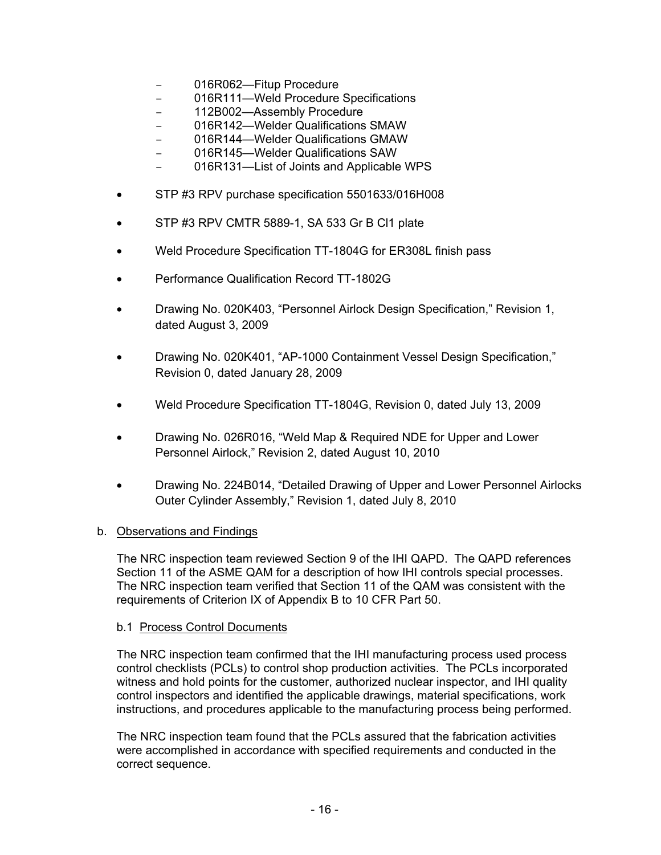- 016R062-Fitup Procedure
- 016R111—Weld Procedure Specifications
- 112B002—Assembly Procedure
- 016R142—Welder Qualifications SMAW
- 016R144—Welder Qualifications GMAW
- 016R145—Welder Qualifications SAW
- 016R131—List of Joints and Applicable WPS
- STP #3 RPV purchase specification 5501633/016H008
- STP #3 RPV CMTR 5889-1, SA 533 Gr B Cl1 plate
- Weld Procedure Specification TT-1804G for ER308L finish pass
- Performance Qualification Record TT-1802G
- Drawing No. 020K403, "Personnel Airlock Design Specification," Revision 1, dated August 3, 2009
- Drawing No. 020K401, "AP-1000 Containment Vessel Design Specification," Revision 0, dated January 28, 2009
- Weld Procedure Specification TT-1804G, Revision 0, dated July 13, 2009
- Drawing No. 026R016, "Weld Map & Required NDE for Upper and Lower Personnel Airlock," Revision 2, dated August 10, 2010
- Drawing No. 224B014, "Detailed Drawing of Upper and Lower Personnel Airlocks Outer Cylinder Assembly," Revision 1, dated July 8, 2010

### b. Observations and Findings

The NRC inspection team reviewed Section 9 of the IHI QAPD. The QAPD references Section 11 of the ASME QAM for a description of how IHI controls special processes. The NRC inspection team verified that Section 11 of the QAM was consistent with the requirements of Criterion IX of Appendix B to 10 CFR Part 50.

### b.1 Process Control Documents

The NRC inspection team confirmed that the IHI manufacturing process used process control checklists (PCLs) to control shop production activities. The PCLs incorporated witness and hold points for the customer, authorized nuclear inspector, and IHI quality control inspectors and identified the applicable drawings, material specifications, work instructions, and procedures applicable to the manufacturing process being performed.

The NRC inspection team found that the PCLs assured that the fabrication activities were accomplished in accordance with specified requirements and conducted in the correct sequence.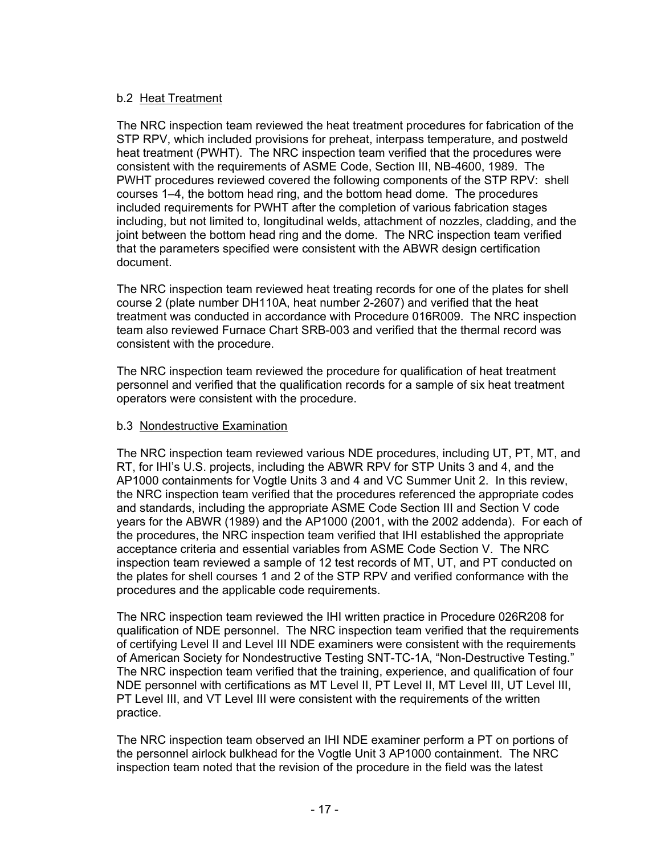## b.2 Heat Treatment

The NRC inspection team reviewed the heat treatment procedures for fabrication of the STP RPV, which included provisions for preheat, interpass temperature, and postweld heat treatment (PWHT). The NRC inspection team verified that the procedures were consistent with the requirements of ASME Code, Section III, NB-4600, 1989. The PWHT procedures reviewed covered the following components of the STP RPV: shell courses 1–4, the bottom head ring, and the bottom head dome. The procedures included requirements for PWHT after the completion of various fabrication stages including, but not limited to, longitudinal welds, attachment of nozzles, cladding, and the joint between the bottom head ring and the dome. The NRC inspection team verified that the parameters specified were consistent with the ABWR design certification document.

The NRC inspection team reviewed heat treating records for one of the plates for shell course 2 (plate number DH110A, heat number 2-2607) and verified that the heat treatment was conducted in accordance with Procedure 016R009. The NRC inspection team also reviewed Furnace Chart SRB-003 and verified that the thermal record was consistent with the procedure.

The NRC inspection team reviewed the procedure for qualification of heat treatment personnel and verified that the qualification records for a sample of six heat treatment operators were consistent with the procedure.

### b.3 Nondestructive Examination

The NRC inspection team reviewed various NDE procedures, including UT, PT, MT, and RT, for IHI's U.S. projects, including the ABWR RPV for STP Units 3 and 4, and the AP1000 containments for Vogtle Units 3 and 4 and VC Summer Unit 2. In this review, the NRC inspection team verified that the procedures referenced the appropriate codes and standards, including the appropriate ASME Code Section III and Section V code years for the ABWR (1989) and the AP1000 (2001, with the 2002 addenda). For each of the procedures, the NRC inspection team verified that IHI established the appropriate acceptance criteria and essential variables from ASME Code Section V. The NRC inspection team reviewed a sample of 12 test records of MT, UT, and PT conducted on the plates for shell courses 1 and 2 of the STP RPV and verified conformance with the procedures and the applicable code requirements.

The NRC inspection team reviewed the IHI written practice in Procedure 026R208 for qualification of NDE personnel. The NRC inspection team verified that the requirements of certifying Level II and Level III NDE examiners were consistent with the requirements of American Society for Nondestructive Testing SNT-TC-1A, "Non-Destructive Testing." The NRC inspection team verified that the training, experience, and qualification of four NDE personnel with certifications as MT Level II, PT Level II, MT Level III, UT Level III, PT Level III, and VT Level III were consistent with the requirements of the written practice.

The NRC inspection team observed an IHI NDE examiner perform a PT on portions of the personnel airlock bulkhead for the Vogtle Unit 3 AP1000 containment. The NRC inspection team noted that the revision of the procedure in the field was the latest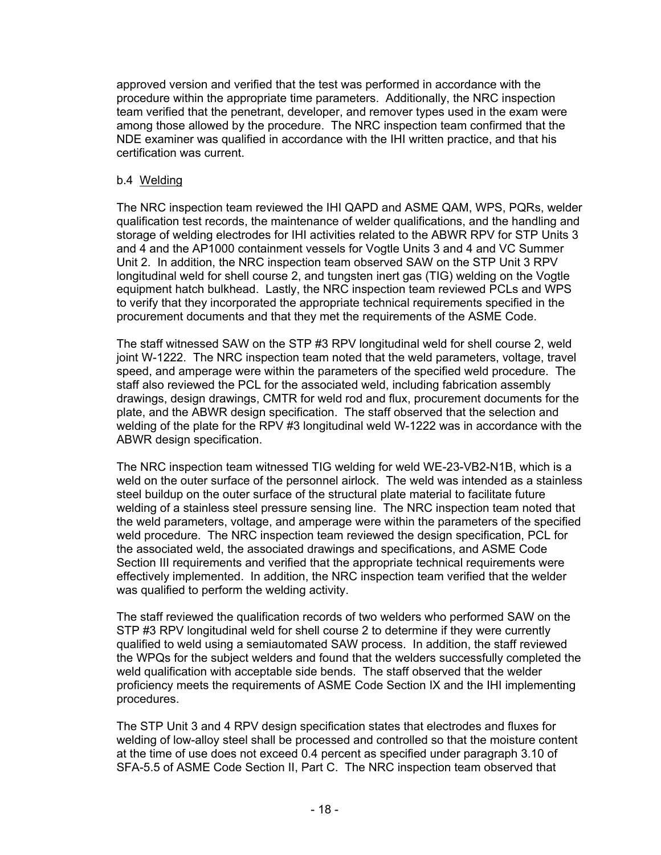approved version and verified that the test was performed in accordance with the procedure within the appropriate time parameters. Additionally, the NRC inspection team verified that the penetrant, developer, and remover types used in the exam were among those allowed by the procedure. The NRC inspection team confirmed that the NDE examiner was qualified in accordance with the IHI written practice, and that his certification was current.

#### b.4 Welding

The NRC inspection team reviewed the IHI QAPD and ASME QAM, WPS, PQRs, welder qualification test records, the maintenance of welder qualifications, and the handling and storage of welding electrodes for IHI activities related to the ABWR RPV for STP Units 3 and 4 and the AP1000 containment vessels for Vogtle Units 3 and 4 and VC Summer Unit 2. In addition, the NRC inspection team observed SAW on the STP Unit 3 RPV longitudinal weld for shell course 2, and tungsten inert gas (TIG) welding on the Vogtle equipment hatch bulkhead. Lastly, the NRC inspection team reviewed PCLs and WPS to verify that they incorporated the appropriate technical requirements specified in the procurement documents and that they met the requirements of the ASME Code.

The staff witnessed SAW on the STP #3 RPV longitudinal weld for shell course 2, weld joint W-1222. The NRC inspection team noted that the weld parameters, voltage, travel speed, and amperage were within the parameters of the specified weld procedure. The staff also reviewed the PCL for the associated weld, including fabrication assembly drawings, design drawings, CMTR for weld rod and flux, procurement documents for the plate, and the ABWR design specification. The staff observed that the selection and welding of the plate for the RPV #3 longitudinal weld W-1222 was in accordance with the ABWR design specification.

The NRC inspection team witnessed TIG welding for weld WE-23-VB2-N1B, which is a weld on the outer surface of the personnel airlock. The weld was intended as a stainless steel buildup on the outer surface of the structural plate material to facilitate future welding of a stainless steel pressure sensing line. The NRC inspection team noted that the weld parameters, voltage, and amperage were within the parameters of the specified weld procedure. The NRC inspection team reviewed the design specification, PCL for the associated weld, the associated drawings and specifications, and ASME Code Section III requirements and verified that the appropriate technical requirements were effectively implemented. In addition, the NRC inspection team verified that the welder was qualified to perform the welding activity.

The staff reviewed the qualification records of two welders who performed SAW on the STP #3 RPV longitudinal weld for shell course 2 to determine if they were currently qualified to weld using a semiautomated SAW process. In addition, the staff reviewed the WPQs for the subject welders and found that the welders successfully completed the weld qualification with acceptable side bends. The staff observed that the welder proficiency meets the requirements of ASME Code Section IX and the IHI implementing procedures.

The STP Unit 3 and 4 RPV design specification states that electrodes and fluxes for welding of low-alloy steel shall be processed and controlled so that the moisture content at the time of use does not exceed 0.4 percent as specified under paragraph 3.10 of SFA-5.5 of ASME Code Section II, Part C. The NRC inspection team observed that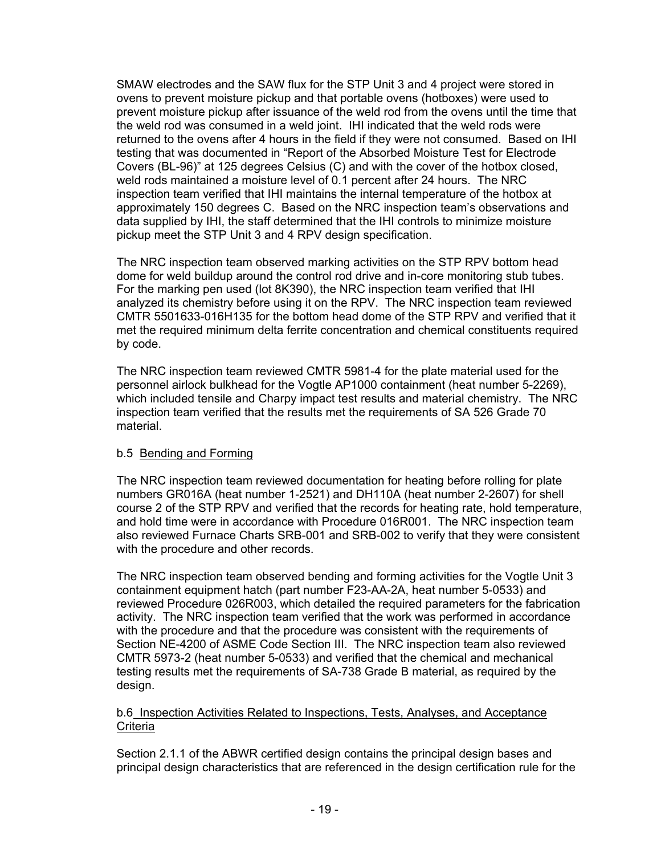SMAW electrodes and the SAW flux for the STP Unit 3 and 4 project were stored in ovens to prevent moisture pickup and that portable ovens (hotboxes) were used to prevent moisture pickup after issuance of the weld rod from the ovens until the time that the weld rod was consumed in a weld joint. IHI indicated that the weld rods were returned to the ovens after 4 hours in the field if they were not consumed. Based on IHI testing that was documented in "Report of the Absorbed Moisture Test for Electrode Covers (BL-96)" at 125 degrees Celsius (C) and with the cover of the hotbox closed, weld rods maintained a moisture level of 0.1 percent after 24 hours. The NRC inspection team verified that IHI maintains the internal temperature of the hotbox at approximately 150 degrees C. Based on the NRC inspection team's observations and data supplied by IHI, the staff determined that the IHI controls to minimize moisture pickup meet the STP Unit 3 and 4 RPV design specification.

The NRC inspection team observed marking activities on the STP RPV bottom head dome for weld buildup around the control rod drive and in-core monitoring stub tubes. For the marking pen used (lot 8K390), the NRC inspection team verified that IHI analyzed its chemistry before using it on the RPV. The NRC inspection team reviewed CMTR 5501633-016H135 for the bottom head dome of the STP RPV and verified that it met the required minimum delta ferrite concentration and chemical constituents required by code.

The NRC inspection team reviewed CMTR 5981-4 for the plate material used for the personnel airlock bulkhead for the Vogtle AP1000 containment (heat number 5-2269), which included tensile and Charpy impact test results and material chemistry. The NRC inspection team verified that the results met the requirements of SA 526 Grade 70 material.

### b.5 Bending and Forming

The NRC inspection team reviewed documentation for heating before rolling for plate numbers GR016A (heat number 1-2521) and DH110A (heat number 2-2607) for shell course 2 of the STP RPV and verified that the records for heating rate, hold temperature, and hold time were in accordance with Procedure 016R001. The NRC inspection team also reviewed Furnace Charts SRB-001 and SRB-002 to verify that they were consistent with the procedure and other records.

The NRC inspection team observed bending and forming activities for the Vogtle Unit 3 containment equipment hatch (part number F23-AA-2A, heat number 5-0533) and reviewed Procedure 026R003, which detailed the required parameters for the fabrication activity. The NRC inspection team verified that the work was performed in accordance with the procedure and that the procedure was consistent with the requirements of Section NE-4200 of ASME Code Section III. The NRC inspection team also reviewed CMTR 5973-2 (heat number 5-0533) and verified that the chemical and mechanical testing results met the requirements of SA-738 Grade B material, as required by the design.

### b.6 Inspection Activities Related to Inspections, Tests, Analyses, and Acceptance **Criteria**

Section 2.1.1 of the ABWR certified design contains the principal design bases and principal design characteristics that are referenced in the design certification rule for the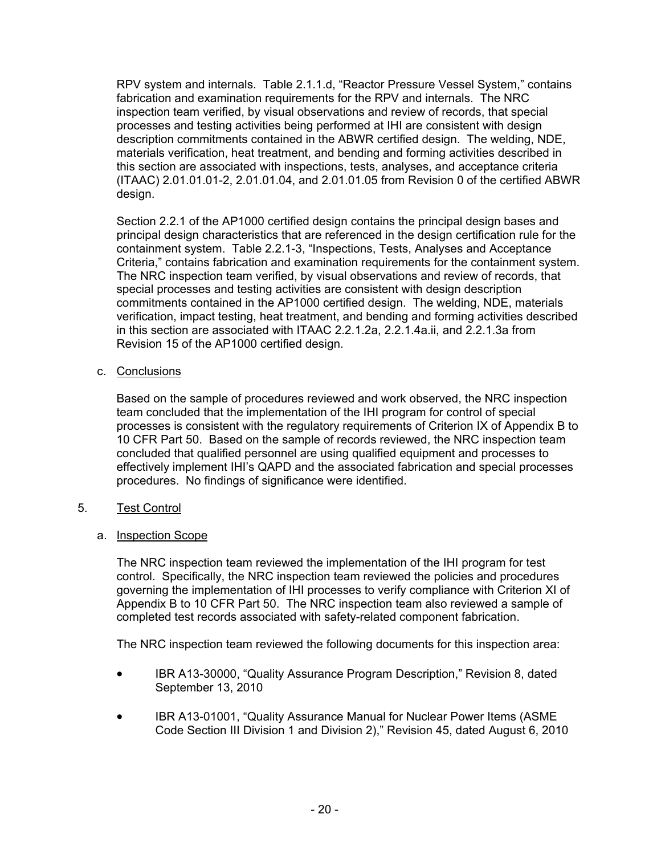RPV system and internals. Table 2.1.1.d, "Reactor Pressure Vessel System," contains fabrication and examination requirements for the RPV and internals. The NRC inspection team verified, by visual observations and review of records, that special processes and testing activities being performed at IHI are consistent with design description commitments contained in the ABWR certified design. The welding, NDE, materials verification, heat treatment, and bending and forming activities described in this section are associated with inspections, tests, analyses, and acceptance criteria (ITAAC) 2.01.01.01-2, 2.01.01.04, and 2.01.01.05 from Revision 0 of the certified ABWR design.

Section 2.2.1 of the AP1000 certified design contains the principal design bases and principal design characteristics that are referenced in the design certification rule for the containment system. Table 2.2.1-3, "Inspections, Tests, Analyses and Acceptance Criteria," contains fabrication and examination requirements for the containment system. The NRC inspection team verified, by visual observations and review of records, that special processes and testing activities are consistent with design description commitments contained in the AP1000 certified design. The welding, NDE, materials verification, impact testing, heat treatment, and bending and forming activities described in this section are associated with ITAAC 2.2.1.2a, 2.2.1.4a.ii, and 2.2.1.3a from Revision 15 of the AP1000 certified design.

### c. Conclusions

Based on the sample of procedures reviewed and work observed, the NRC inspection team concluded that the implementation of the IHI program for control of special processes is consistent with the regulatory requirements of Criterion IX of Appendix B to 10 CFR Part 50. Based on the sample of records reviewed, the NRC inspection team concluded that qualified personnel are using qualified equipment and processes to effectively implement IHI's QAPD and the associated fabrication and special processes procedures. No findings of significance were identified.

## 5. Test Control

a. Inspection Scope

The NRC inspection team reviewed the implementation of the IHI program for test control. Specifically, the NRC inspection team reviewed the policies and procedures governing the implementation of IHI processes to verify compliance with Criterion XI of Appendix B to 10 CFR Part 50. The NRC inspection team also reviewed a sample of completed test records associated with safety-related component fabrication.

The NRC inspection team reviewed the following documents for this inspection area:

- IBR A13-30000, "Quality Assurance Program Description," Revision 8, dated September 13, 2010
- IBR A13-01001, "Quality Assurance Manual for Nuclear Power Items (ASME Code Section III Division 1 and Division 2)," Revision 45, dated August 6, 2010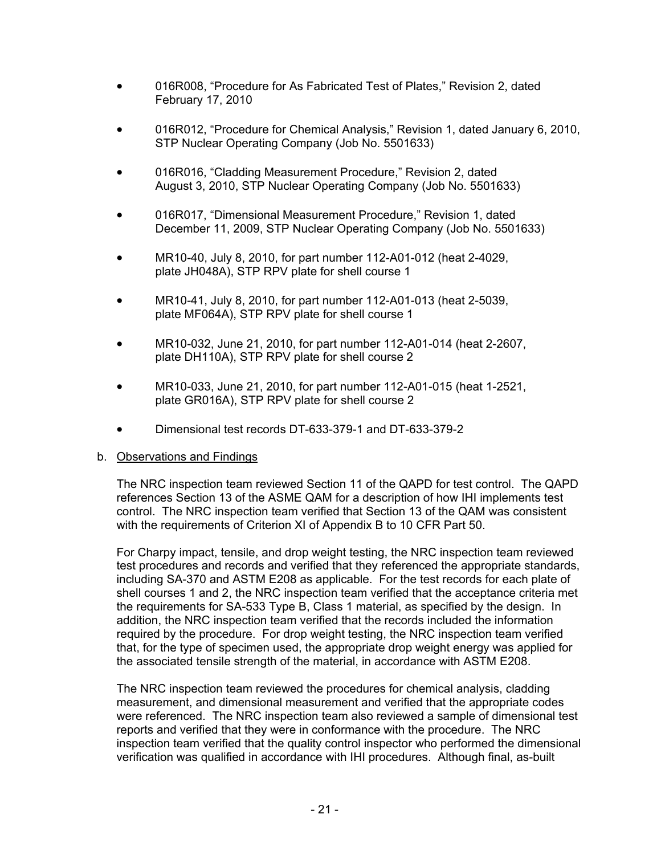- 016R008, "Procedure for As Fabricated Test of Plates," Revision 2, dated February 17, 2010
- 016R012, "Procedure for Chemical Analysis," Revision 1, dated January 6, 2010, STP Nuclear Operating Company (Job No. 5501633)
- 016R016, "Cladding Measurement Procedure," Revision 2, dated August 3, 2010, STP Nuclear Operating Company (Job No. 5501633)
- 016R017, "Dimensional Measurement Procedure," Revision 1, dated December 11, 2009, STP Nuclear Operating Company (Job No. 5501633)
- MR10-40, July 8, 2010, for part number 112-A01-012 (heat 2-4029, plate JH048A), STP RPV plate for shell course 1
- MR10-41, July 8, 2010, for part number 112-A01-013 (heat 2-5039, plate MF064A), STP RPV plate for shell course 1
- MR10-032, June 21, 2010, for part number 112-A01-014 (heat 2-2607, plate DH110A), STP RPV plate for shell course 2
- MR10-033, June 21, 2010, for part number 112-A01-015 (heat 1-2521, plate GR016A), STP RPV plate for shell course 2
- Dimensional test records DT-633-379-1 and DT-633-379-2

#### b. Observations and Findings

The NRC inspection team reviewed Section 11 of the QAPD for test control. The QAPD references Section 13 of the ASME QAM for a description of how IHI implements test control. The NRC inspection team verified that Section 13 of the QAM was consistent with the requirements of Criterion XI of Appendix B to 10 CFR Part 50.

For Charpy impact, tensile, and drop weight testing, the NRC inspection team reviewed test procedures and records and verified that they referenced the appropriate standards, including SA-370 and ASTM E208 as applicable. For the test records for each plate of shell courses 1 and 2, the NRC inspection team verified that the acceptance criteria met the requirements for SA-533 Type B, Class 1 material, as specified by the design. In addition, the NRC inspection team verified that the records included the information required by the procedure. For drop weight testing, the NRC inspection team verified that, for the type of specimen used, the appropriate drop weight energy was applied for the associated tensile strength of the material, in accordance with ASTM E208.

The NRC inspection team reviewed the procedures for chemical analysis, cladding measurement, and dimensional measurement and verified that the appropriate codes were referenced. The NRC inspection team also reviewed a sample of dimensional test reports and verified that they were in conformance with the procedure. The NRC inspection team verified that the quality control inspector who performed the dimensional verification was qualified in accordance with IHI procedures. Although final, as-built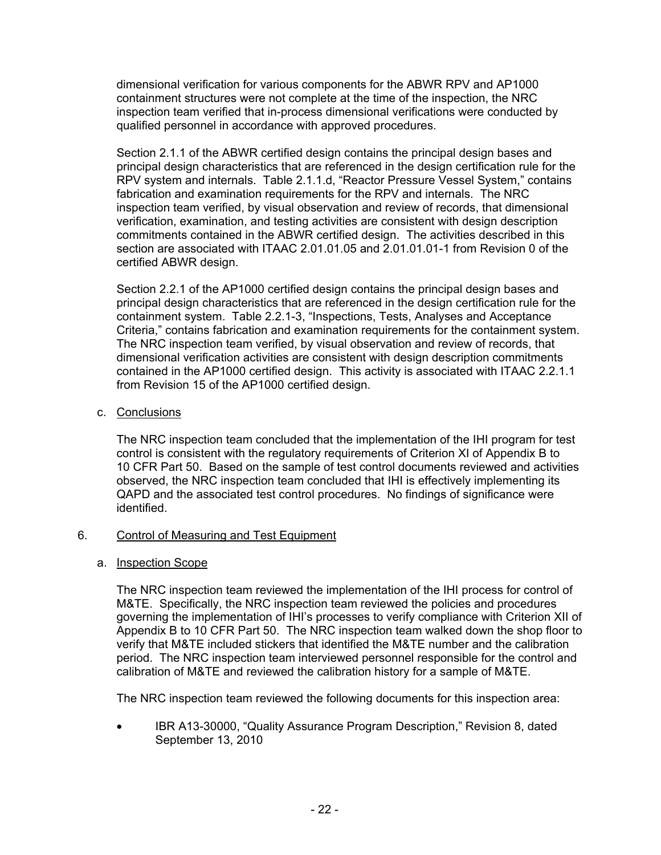dimensional verification for various components for the ABWR RPV and AP1000 containment structures were not complete at the time of the inspection, the NRC inspection team verified that in-process dimensional verifications were conducted by qualified personnel in accordance with approved procedures.

Section 2.1.1 of the ABWR certified design contains the principal design bases and principal design characteristics that are referenced in the design certification rule for the RPV system and internals. Table 2.1.1.d, "Reactor Pressure Vessel System," contains fabrication and examination requirements for the RPV and internals. The NRC inspection team verified, by visual observation and review of records, that dimensional verification, examination, and testing activities are consistent with design description commitments contained in the ABWR certified design. The activities described in this section are associated with ITAAC 2.01.01.05 and 2.01.01.01-1 from Revision 0 of the certified ABWR design.

Section 2.2.1 of the AP1000 certified design contains the principal design bases and principal design characteristics that are referenced in the design certification rule for the containment system. Table 2.2.1-3, "Inspections, Tests, Analyses and Acceptance Criteria," contains fabrication and examination requirements for the containment system. The NRC inspection team verified, by visual observation and review of records, that dimensional verification activities are consistent with design description commitments contained in the AP1000 certified design. This activity is associated with ITAAC 2.2.1.1 from Revision 15 of the AP1000 certified design.

### c. Conclusions

The NRC inspection team concluded that the implementation of the IHI program for test control is consistent with the regulatory requirements of Criterion XI of Appendix B to 10 CFR Part 50. Based on the sample of test control documents reviewed and activities observed, the NRC inspection team concluded that IHI is effectively implementing its QAPD and the associated test control procedures. No findings of significance were identified.

### 6. Control of Measuring and Test Equipment

### a. Inspection Scope

The NRC inspection team reviewed the implementation of the IHI process for control of M&TE. Specifically, the NRC inspection team reviewed the policies and procedures governing the implementation of IHI's processes to verify compliance with Criterion XII of Appendix B to 10 CFR Part 50. The NRC inspection team walked down the shop floor to verify that M&TE included stickers that identified the M&TE number and the calibration period. The NRC inspection team interviewed personnel responsible for the control and calibration of M&TE and reviewed the calibration history for a sample of M&TE.

The NRC inspection team reviewed the following documents for this inspection area:

• IBR A13-30000, "Quality Assurance Program Description," Revision 8, dated September 13, 2010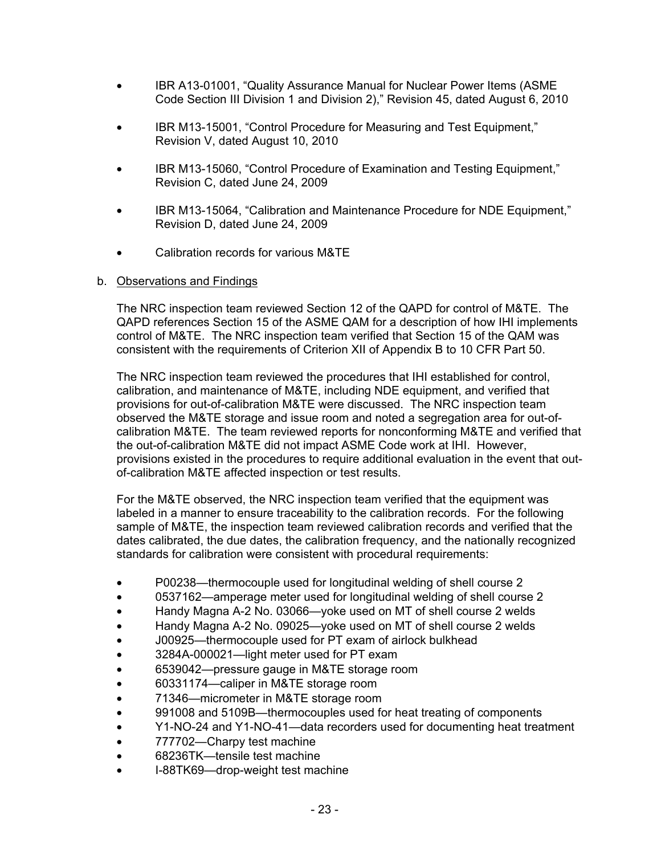- IBR A13-01001, "Quality Assurance Manual for Nuclear Power Items (ASME Code Section III Division 1 and Division 2)," Revision 45, dated August 6, 2010
- IBR M13-15001, "Control Procedure for Measuring and Test Equipment," Revision V, dated August 10, 2010
- IBR M13-15060, "Control Procedure of Examination and Testing Equipment," Revision C, dated June 24, 2009
- IBR M13-15064, "Calibration and Maintenance Procedure for NDE Equipment," Revision D, dated June 24, 2009
- Calibration records for various M&TE

### b. Observations and Findings

The NRC inspection team reviewed Section 12 of the QAPD for control of M&TE. The QAPD references Section 15 of the ASME QAM for a description of how IHI implements control of M&TE. The NRC inspection team verified that Section 15 of the QAM was consistent with the requirements of Criterion XII of Appendix B to 10 CFR Part 50.

The NRC inspection team reviewed the procedures that IHI established for control, calibration, and maintenance of M&TE, including NDE equipment, and verified that provisions for out-of-calibration M&TE were discussed. The NRC inspection team observed the M&TE storage and issue room and noted a segregation area for out-ofcalibration M&TE. The team reviewed reports for nonconforming M&TE and verified that the out-of-calibration M&TE did not impact ASME Code work at IHI. However, provisions existed in the procedures to require additional evaluation in the event that outof-calibration M&TE affected inspection or test results.

For the M&TE observed, the NRC inspection team verified that the equipment was labeled in a manner to ensure traceability to the calibration records. For the following sample of M&TE, the inspection team reviewed calibration records and verified that the dates calibrated, the due dates, the calibration frequency, and the nationally recognized standards for calibration were consistent with procedural requirements:

- P00238—thermocouple used for longitudinal welding of shell course 2
- 0537162—amperage meter used for longitudinal welding of shell course 2
- Handy Magna A-2 No. 03066—yoke used on MT of shell course 2 welds
- Handy Magna A-2 No. 09025—yoke used on MT of shell course 2 welds
- J00925—thermocouple used for PT exam of airlock bulkhead
- 3284A-000021—light meter used for PT exam
- 6539042—pressure gauge in M&TE storage room
- 60331174—caliper in M&TE storage room
- 71346—micrometer in M&TE storage room
- 991008 and 5109B—thermocouples used for heat treating of components
- Y1-NO-24 and Y1-NO-41—data recorders used for documenting heat treatment
- 777702-Charpy test machine
- 68236TK—tensile test machine
- I-88TK69—drop-weight test machine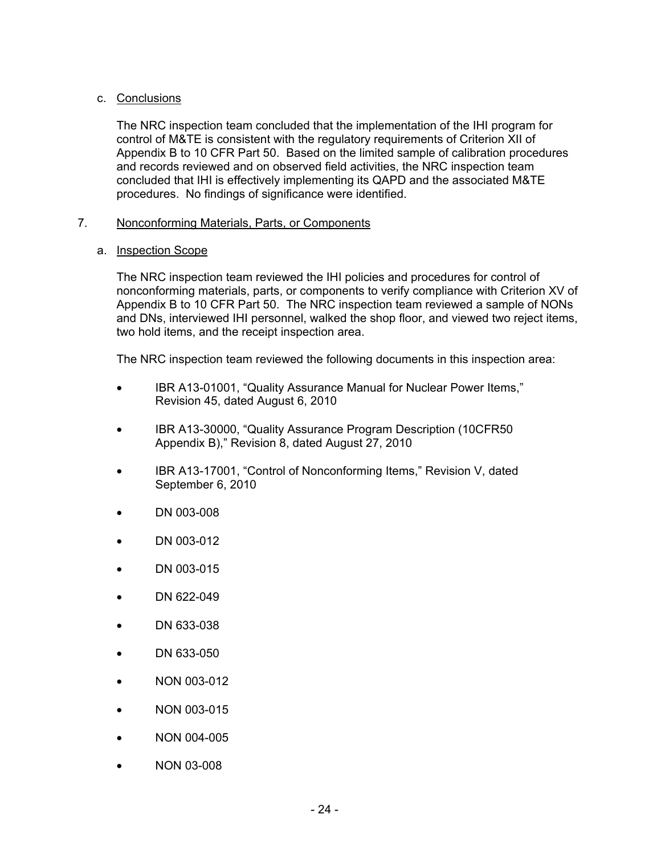### c. Conclusions

The NRC inspection team concluded that the implementation of the IHI program for control of M&TE is consistent with the regulatory requirements of Criterion XII of Appendix B to 10 CFR Part 50. Based on the limited sample of calibration procedures and records reviewed and on observed field activities, the NRC inspection team concluded that IHI is effectively implementing its QAPD and the associated M&TE procedures. No findings of significance were identified.

### 7. Nonconforming Materials, Parts, or Components

### a. Inspection Scope

The NRC inspection team reviewed the IHI policies and procedures for control of nonconforming materials, parts, or components to verify compliance with Criterion XV of Appendix B to 10 CFR Part 50. The NRC inspection team reviewed a sample of NONs and DNs, interviewed IHI personnel, walked the shop floor, and viewed two reject items, two hold items, and the receipt inspection area.

The NRC inspection team reviewed the following documents in this inspection area:

- IBR A13-01001, "Quality Assurance Manual for Nuclear Power Items," Revision 45, dated August 6, 2010
- IBR A13-30000, "Quality Assurance Program Description (10CFR50 Appendix B)," Revision 8, dated August 27, 2010
- IBR A13-17001, "Control of Nonconforming Items," Revision V, dated September 6, 2010
- DN 003-008
- DN 003-012
- DN 003-015
- DN 622-049
- DN 633-038
- DN 633-050
- NON 003-012
- NON 003-015
- NON 004-005
- NON 03-008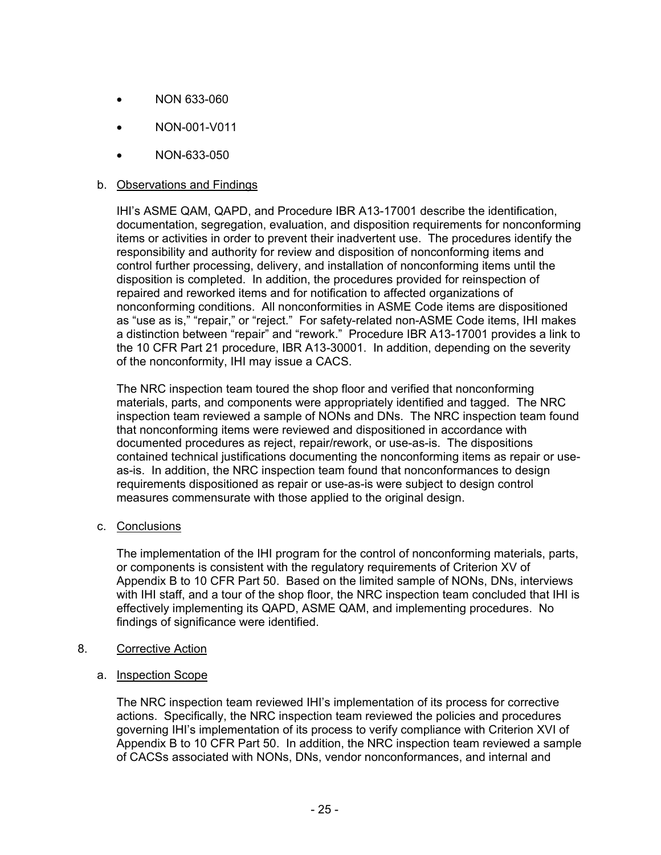- NON 633-060
- NON-001-V011
- NON-633-050

#### b. Observations and Findings

IHI's ASME QAM, QAPD, and Procedure IBR A13-17001 describe the identification, documentation, segregation, evaluation, and disposition requirements for nonconforming items or activities in order to prevent their inadvertent use. The procedures identify the responsibility and authority for review and disposition of nonconforming items and control further processing, delivery, and installation of nonconforming items until the disposition is completed. In addition, the procedures provided for reinspection of repaired and reworked items and for notification to affected organizations of nonconforming conditions. All nonconformities in ASME Code items are dispositioned as "use as is," "repair," or "reject." For safety-related non-ASME Code items, IHI makes a distinction between "repair" and "rework." Procedure IBR A13-17001 provides a link to the 10 CFR Part 21 procedure, IBR A13-30001. In addition, depending on the severity of the nonconformity, IHI may issue a CACS.

The NRC inspection team toured the shop floor and verified that nonconforming materials, parts, and components were appropriately identified and tagged. The NRC inspection team reviewed a sample of NONs and DNs. The NRC inspection team found that nonconforming items were reviewed and dispositioned in accordance with documented procedures as reject, repair/rework, or use-as-is. The dispositions contained technical justifications documenting the nonconforming items as repair or useas-is. In addition, the NRC inspection team found that nonconformances to design requirements dispositioned as repair or use-as-is were subject to design control measures commensurate with those applied to the original design.

c. Conclusions

The implementation of the IHI program for the control of nonconforming materials, parts, or components is consistent with the regulatory requirements of Criterion XV of Appendix B to 10 CFR Part 50. Based on the limited sample of NONs, DNs, interviews with IHI staff, and a tour of the shop floor, the NRC inspection team concluded that IHI is effectively implementing its QAPD, ASME QAM, and implementing procedures. No findings of significance were identified.

- 8. Corrective Action
	- a. Inspection Scope

The NRC inspection team reviewed IHI's implementation of its process for corrective actions. Specifically, the NRC inspection team reviewed the policies and procedures governing IHI's implementation of its process to verify compliance with Criterion XVI of Appendix B to 10 CFR Part 50. In addition, the NRC inspection team reviewed a sample of CACSs associated with NONs, DNs, vendor nonconformances, and internal and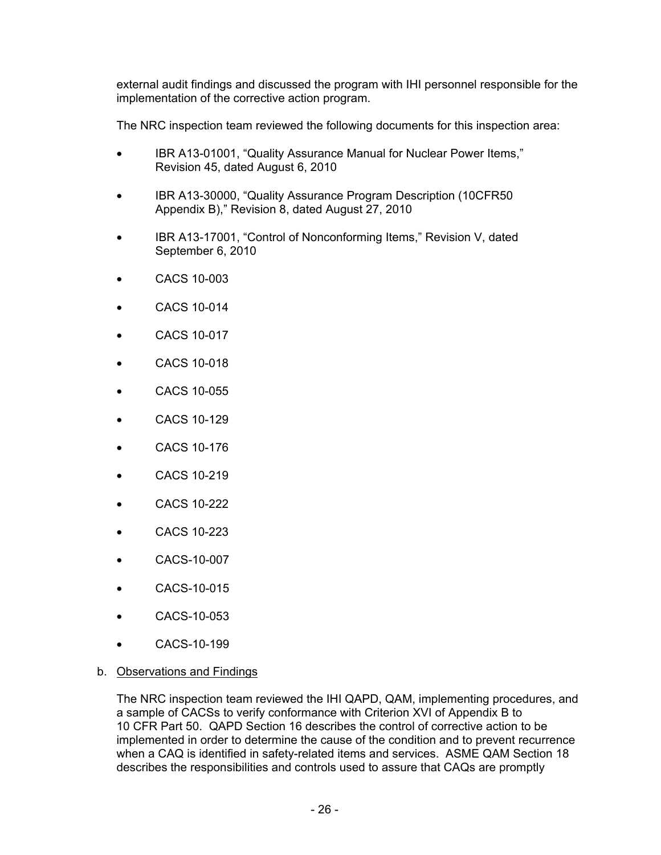external audit findings and discussed the program with IHI personnel responsible for the implementation of the corrective action program.

The NRC inspection team reviewed the following documents for this inspection area:

- IBR A13-01001, "Quality Assurance Manual for Nuclear Power Items," Revision 45, dated August 6, 2010
- IBR A13-30000, "Quality Assurance Program Description (10CFR50 Appendix B)," Revision 8, dated August 27, 2010
- IBR A13-17001, "Control of Nonconforming Items," Revision V, dated September 6, 2010
- CACS 10-003
- CACS 10-014
- CACS 10-017
- CACS 10-018
- CACS 10-055
- CACS 10-129
- CACS 10-176
- CACS 10-219
- CACS 10-222
- CACS 10-223
- CACS-10-007
- CACS-10-015
- CACS-10-053
- CACS-10-199

### b. Observations and Findings

The NRC inspection team reviewed the IHI QAPD, QAM, implementing procedures, and a sample of CACSs to verify conformance with Criterion XVI of Appendix B to 10 CFR Part 50. QAPD Section 16 describes the control of corrective action to be implemented in order to determine the cause of the condition and to prevent recurrence when a CAQ is identified in safety-related items and services. ASME QAM Section 18 describes the responsibilities and controls used to assure that CAQs are promptly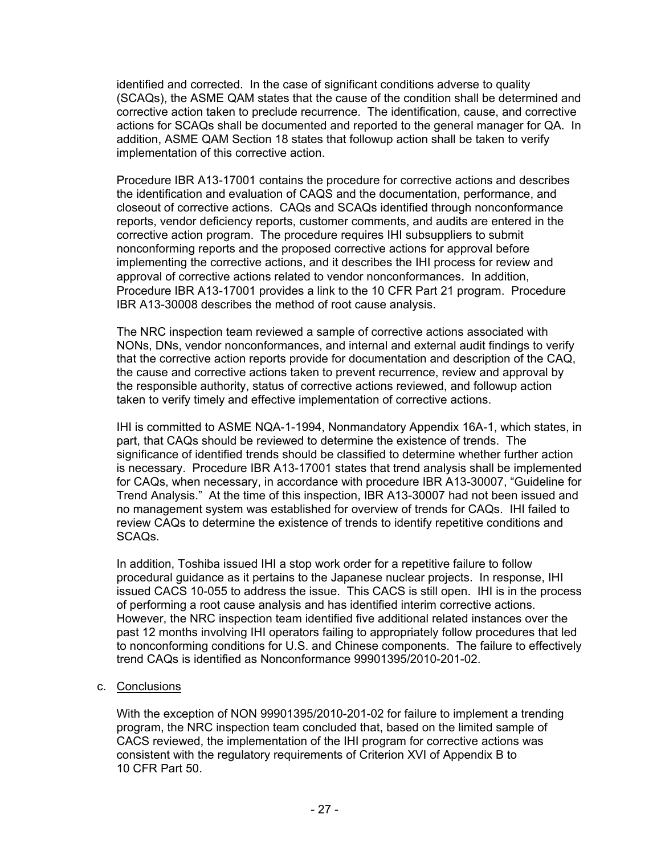identified and corrected. In the case of significant conditions adverse to quality (SCAQs), the ASME QAM states that the cause of the condition shall be determined and corrective action taken to preclude recurrence. The identification, cause, and corrective actions for SCAQs shall be documented and reported to the general manager for QA. In addition, ASME QAM Section 18 states that followup action shall be taken to verify implementation of this corrective action.

Procedure IBR A13-17001 contains the procedure for corrective actions and describes the identification and evaluation of CAQS and the documentation, performance, and closeout of corrective actions. CAQs and SCAQs identified through nonconformance reports, vendor deficiency reports, customer comments, and audits are entered in the corrective action program. The procedure requires IHI subsuppliers to submit nonconforming reports and the proposed corrective actions for approval before implementing the corrective actions, and it describes the IHI process for review and approval of corrective actions related to vendor nonconformances. In addition, Procedure IBR A13-17001 provides a link to the 10 CFR Part 21 program. Procedure IBR A13-30008 describes the method of root cause analysis.

The NRC inspection team reviewed a sample of corrective actions associated with NONs, DNs, vendor nonconformances, and internal and external audit findings to verify that the corrective action reports provide for documentation and description of the CAQ, the cause and corrective actions taken to prevent recurrence, review and approval by the responsible authority, status of corrective actions reviewed, and followup action taken to verify timely and effective implementation of corrective actions.

IHI is committed to ASME NQA-1-1994, Nonmandatory Appendix 16A-1, which states, in part, that CAQs should be reviewed to determine the existence of trends. The significance of identified trends should be classified to determine whether further action is necessary. Procedure IBR A13-17001 states that trend analysis shall be implemented for CAQs, when necessary, in accordance with procedure IBR A13-30007, "Guideline for Trend Analysis." At the time of this inspection, IBR A13-30007 had not been issued and no management system was established for overview of trends for CAQs. IHI failed to review CAQs to determine the existence of trends to identify repetitive conditions and SCAQs.

In addition, Toshiba issued IHI a stop work order for a repetitive failure to follow procedural guidance as it pertains to the Japanese nuclear projects. In response, IHI issued CACS 10-055 to address the issue. This CACS is still open. IHI is in the process of performing a root cause analysis and has identified interim corrective actions. However, the NRC inspection team identified five additional related instances over the past 12 months involving IHI operators failing to appropriately follow procedures that led to nonconforming conditions for U.S. and Chinese components. The failure to effectively trend CAQs is identified as Nonconformance 99901395/2010-201-02.

### c. Conclusions

With the exception of NON 99901395/2010-201-02 for failure to implement a trending program, the NRC inspection team concluded that, based on the limited sample of CACS reviewed, the implementation of the IHI program for corrective actions was consistent with the regulatory requirements of Criterion XVI of Appendix B to 10 CFR Part 50.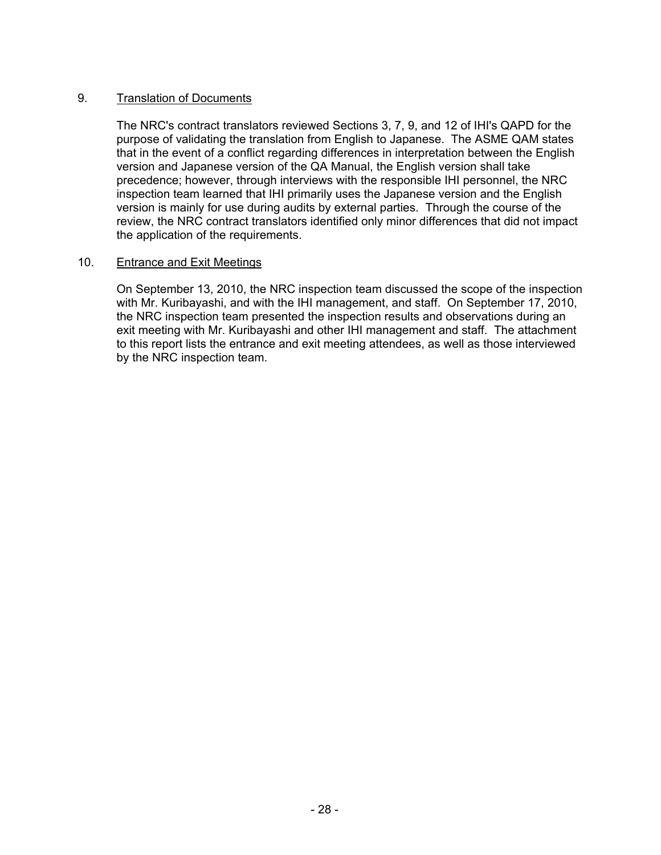### 9. Translation of Documents

The NRC's contract translators reviewed Sections 3, 7, 9, and 12 of IHI's QAPD for the purpose of validating the translation from English to Japanese. The ASME QAM states that in the event of a conflict regarding differences in interpretation between the English version and Japanese version of the QA Manual, the English version shall take precedence; however, through interviews with the responsible IHI personnel, the NRC inspection team learned that IHI primarily uses the Japanese version and the English version is mainly for use during audits by external parties. Through the course of the review, the NRC contract translators identified only minor differences that did not impact the application of the requirements.

### 10. Entrance and Exit Meetings

On September 13, 2010, the NRC inspection team discussed the scope of the inspection with Mr. Kuribayashi, and with the IHI management, and staff. On September 17, 2010, the NRC inspection team presented the inspection results and observations during an exit meeting with Mr. Kuribayashi and other IHI management and staff. The attachment to this report lists the entrance and exit meeting attendees, as well as those interviewed by the NRC inspection team.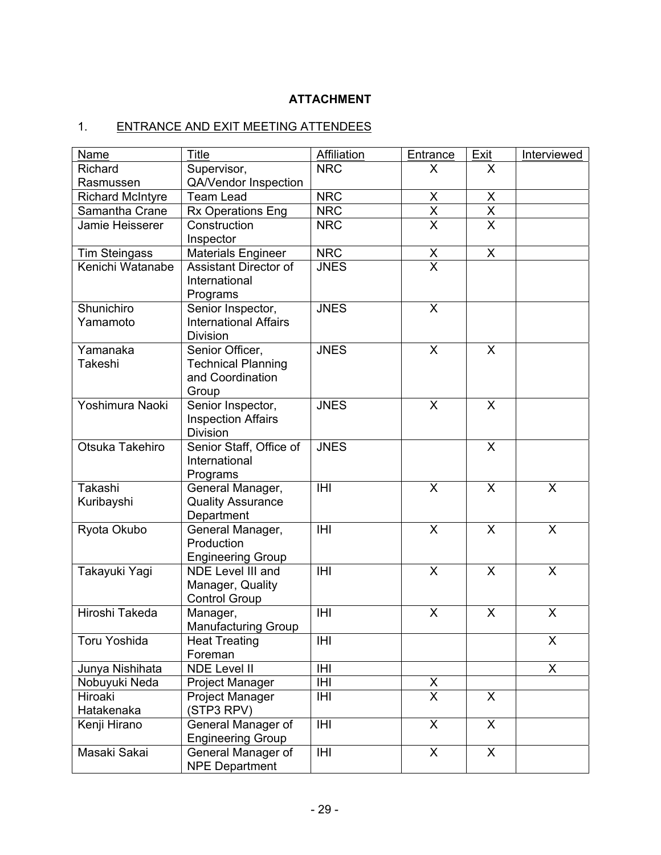# **ATTACHMENT**

# 1. ENTRANCE AND EXIT MEETING ATTENDEES

| <b>Name</b>                                                                                      | <b>Title</b>                                | Affiliation    | Entrance                  | Exit                      | Interviewed             |
|--------------------------------------------------------------------------------------------------|---------------------------------------------|----------------|---------------------------|---------------------------|-------------------------|
| Richard                                                                                          | Supervisor,                                 | <b>NRC</b>     | X                         | X                         |                         |
| Rasmussen                                                                                        | QA/Vendor Inspection                        |                |                           |                           |                         |
| <b>Team Lead</b><br><b>Richard McIntyre</b>                                                      |                                             | <b>NRC</b>     | X                         | X                         |                         |
| Samantha Crane                                                                                   | <b>Rx Operations Eng</b>                    | <b>NRC</b>     | $\overline{\mathsf{x}}$   | $\overline{X}$            |                         |
| Jamie Heisserer                                                                                  | Construction<br>Inspector                   | <b>NRC</b>     | $\overline{\mathsf{x}}$   | $\overline{\mathsf{x}}$   |                         |
| <b>Tim Steingass</b>                                                                             | <b>Materials Engineer</b>                   | <b>NRC</b>     | X                         | $\boldsymbol{\mathsf{X}}$ |                         |
| Kenichi Watanabe<br>Assistant Director of<br>International<br>Programs                           |                                             | <b>JNES</b>    | $\overline{\mathsf{x}}$   |                           |                         |
| Shunichiro<br>Senior Inspector,<br><b>International Affairs</b><br>Yamamoto<br><b>Division</b>   |                                             | <b>JNES</b>    | X                         |                           |                         |
| Yamanaka<br>Senior Officer,<br>Takeshi<br><b>Technical Planning</b><br>and Coordination<br>Group |                                             | <b>JNES</b>    | $\boldsymbol{\mathsf{X}}$ | $\boldsymbol{\mathsf{X}}$ |                         |
| Yoshimura Naoki<br>Senior Inspector,<br><b>Inspection Affairs</b><br><b>Division</b>             |                                             | <b>JNES</b>    | $\overline{\mathsf{x}}$   | $\overline{\mathsf{x}}$   |                         |
| Otsuka Takehiro<br>Senior Staff, Office of<br>International<br>Programs                          |                                             | <b>JNES</b>    |                           | X                         |                         |
| Takashi<br>General Manager,<br><b>Quality Assurance</b><br>Kuribayshi<br>Department              |                                             | <b>IHI</b>     | $\sf X$                   | $\sf X$                   | $\mathsf{X}$            |
| General Manager,<br>Ryota Okubo<br>Production<br><b>Engineering Group</b>                        |                                             | <b>IHI</b>     | $\sf X$                   | $\boldsymbol{\mathsf{X}}$ | $\overline{\mathsf{x}}$ |
| <b>NDE Level III and</b><br>Takayuki Yagi<br>Manager, Quality<br><b>Control Group</b>            |                                             | $\overline{H}$ | $\overline{\mathsf{x}}$   | $\times$                  | $\overline{\mathsf{x}}$ |
| Hiroshi Takeda<br>Manager,<br><b>Manufacturing Group</b>                                         |                                             | <b>IHI</b>     | X                         | X                         | X                       |
| Toru Yoshida<br><b>Heat Treating</b><br>Foreman                                                  |                                             | <b>IHI</b>     |                           |                           | $\overline{\mathsf{X}}$ |
| Junya Nishihata                                                                                  | <b>NDE Level II</b>                         | IHI            |                           |                           | X                       |
| Nobuyuki Neda<br>Project Manager                                                                 |                                             | IHI            |                           |                           |                         |
| Hiroaki<br>Project Manager<br>Hatakenaka<br>(STP3 RPV)                                           |                                             | IHI            | $\frac{x}{x}$             | X                         |                         |
| Kenji Hirano<br>General Manager of<br><b>Engineering Group</b>                                   |                                             | <b>IHI</b>     | $\overline{\mathsf{x}}$   | $\overline{\mathsf{x}}$   |                         |
| Masaki Sakai                                                                                     | General Manager of<br><b>NPE Department</b> | IHI            | X                         | $\sf X$                   |                         |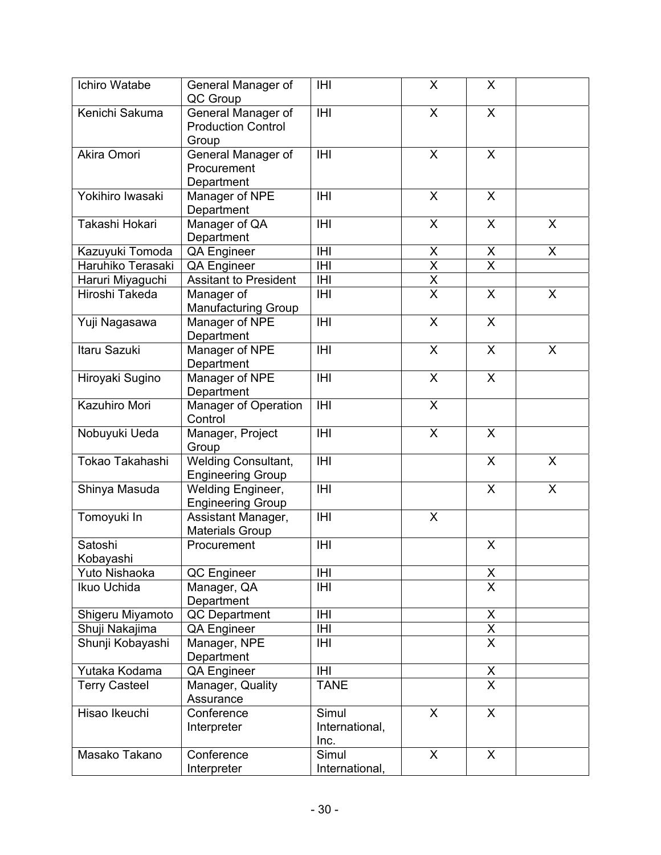| Ichiro Watabe                                                              | General Manager of<br>QC Group               | <b>IHI</b>                      | X                               | X                                   |              |
|----------------------------------------------------------------------------|----------------------------------------------|---------------------------------|---------------------------------|-------------------------------------|--------------|
| Kenichi Sakuma<br>General Manager of<br><b>Production Control</b><br>Group |                                              | <b>IHI</b>                      | X                               | X                                   |              |
| Akira Omori<br>General Manager of<br>Procurement<br>Department             |                                              | <b>IHI</b>                      | X                               | $\boldsymbol{\mathsf{X}}$           |              |
| Yokihiro Iwasaki                                                           | Manager of NPE<br>Department                 | <b>IHI</b>                      | X                               | $\overline{\mathsf{x}}$             |              |
| Takashi Hokari                                                             | Manager of QA<br>Department                  | <b>IHI</b>                      | X                               | $\sf X$                             | X            |
| Kazuyuki Tomoda                                                            | <b>QA Engineer</b>                           | IHI                             |                                 |                                     | X            |
| Haruhiko Terasaki                                                          | QA Engineer                                  | <b>IHI</b>                      | $\frac{\mathsf{X}}{\mathsf{X}}$ | $\frac{\mathsf{X}}{\mathsf{X}}$     |              |
| Haruri Miyaguchi                                                           | <b>Assitant to President</b>                 | <b>IHI</b>                      | $\overline{\mathsf{x}}$         |                                     |              |
| Hiroshi Takeda                                                             | Manager of<br><b>Manufacturing Group</b>     | <b>IHI</b>                      | $\overline{\mathsf{x}}$         | $\sf X$                             | $\mathsf{X}$ |
| Yuji Nagasawa                                                              | Manager of NPE<br>Department                 | <b>IHI</b>                      | $\boldsymbol{\mathsf{X}}$       | $\boldsymbol{\mathsf{X}}$           |              |
| Itaru Sazuki                                                               | Manager of NPE<br>Department                 | <b>IHI</b>                      | X                               | $\boldsymbol{\mathsf{X}}$           | X            |
| Hiroyaki Sugino<br>Manager of NPE<br>Department                            |                                              | <b>IHI</b>                      | $\sf X$                         | $\sf X$                             |              |
| Kazuhiro Mori<br>Manager of Operation<br>Control                           |                                              | <b>IHI</b>                      | $\mathsf{X}$                    |                                     |              |
| Nobuyuki Ueda<br>Manager, Project<br>Group                                 |                                              | <b>IHI</b>                      | X                               | X                                   |              |
| Tokao Takahashi<br><b>Welding Consultant,</b><br><b>Engineering Group</b>  |                                              | <b>IHI</b>                      |                                 | X                                   | $\mathsf{X}$ |
| Shinya Masuda<br><b>Welding Engineer,</b><br><b>Engineering Group</b>      |                                              | <b>IHI</b>                      |                                 | X                                   | X            |
| Tomoyuki In                                                                | Assistant Manager,<br><b>Materials Group</b> | <b>IHI</b>                      | X                               |                                     |              |
| Satoshi<br>Kobayashi                                                       | Procurement                                  | <b>IHI</b>                      |                                 | X                                   |              |
| Yuto Nishaoka                                                              | QC Engineer                                  | IHI                             |                                 | X                                   |              |
| Ikuo Uchida<br>Manager, QA<br>Department                                   |                                              | IHI                             |                                 | $\overline{X}$                      |              |
| Shigeru Miyamoto<br>QC Department                                          |                                              | IHI                             |                                 | X                                   |              |
| Shuji Nakajima                                                             | <b>QA Engineer</b>                           | IHI                             |                                 | $\frac{\overline{X}}{\overline{X}}$ |              |
| Shunji Kobayashi<br>Manager, NPE<br>Department                             |                                              | <b>IHI</b>                      |                                 |                                     |              |
| Yutaka Kodama<br><b>QA Engineer</b>                                        |                                              | <b>IHI</b>                      |                                 | $\pmb{\mathsf{X}}$                  |              |
| Manager, Quality<br><b>Terry Casteel</b><br>Assurance                      |                                              | <b>TANE</b>                     |                                 | $\overline{\mathsf{x}}$             |              |
| Hisao Ikeuchi<br>Conference<br>Interpreter                                 |                                              | Simul<br>International,<br>Inc. | X                               | X                                   |              |
| Masako Takano                                                              | Conference<br>Interpreter                    | Simul<br>International,         | X                               | X                                   |              |